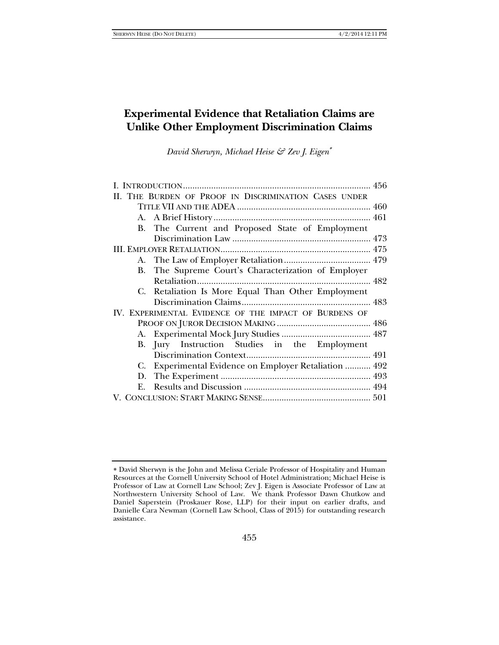# **Experimental Evidence that Retaliation Claims are Unlike Other Employment Discrimination Claims**

*David Sherwyn, Michael Heise & Zev J. Eigen*

| II. THE BURDEN OF PROOF IN DISCRIMINATION CASES UNDER |  |
|-------------------------------------------------------|--|
|                                                       |  |
|                                                       |  |
| B. The Current and Proposed State of Employment       |  |
|                                                       |  |
|                                                       |  |
|                                                       |  |
| B. The Supreme Court's Characterization of Employer   |  |
|                                                       |  |
| C. Retaliation Is More Equal Than Other Employment    |  |
|                                                       |  |
| IV. EXPERIMENTAL EVIDENCE OF THE IMPACT OF BURDENS OF |  |
|                                                       |  |
|                                                       |  |
| B. Jury Instruction Studies in the Employment         |  |
|                                                       |  |
| C. Experimental Evidence on Employer Retaliation  492 |  |
|                                                       |  |
|                                                       |  |
|                                                       |  |
|                                                       |  |

David Sherwyn is the John and Melissa Ceriale Professor of Hospitality and Human Resources at the Cornell University School of Hotel Administration; Michael Heise is Professor of Law at Cornell Law School; Zev J. Eigen is Associate Professor of Law at Northwestern University School of Law. We thank Professor Dawn Chutkow and Daniel Saperstein (Proskauer Rose, LLP) for their input on earlier drafts, and Danielle Cara Newman (Cornell Law School, Class of 2015) for outstanding research assistance.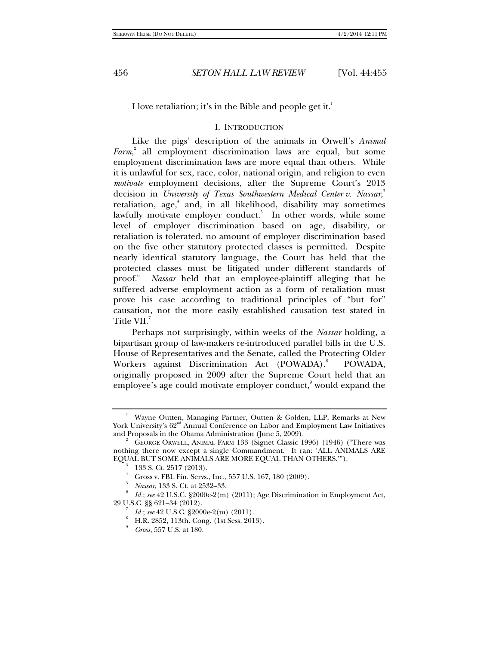I love retaliation; it's in the Bible and people get it.<sup>1</sup>

## I. INTRODUCTION

Like the pigs' description of the animals in Orwell's *Animal Farm*, 2 all employment discrimination laws are equal, but some employment discrimination laws are more equal than others. While it is unlawful for sex, race, color, national origin, and religion to even *motivate* employment decisions, after the Supreme Court's 2013 decision in *University of Texas Southwestern Medical Center v. Nassar*,<sup>3</sup> retaliation, age,<sup>4</sup> and, in all likelihood, disability may sometimes lawfully motivate employer conduct.<sup>5</sup> In other words, while some level of employer discrimination based on age, disability, or retaliation is tolerated, no amount of employer discrimination based on the five other statutory protected classes is permitted. Despite nearly identical statutory language, the Court has held that the protected classes must be litigated under different standards of  $proof.<sup>6</sup>$  *Nassar* held that an employee-plaintiff alleging that he suffered adverse employment action as a form of retaliation must prove his case according to traditional principles of "but for" causation, not the more easily established causation test stated in Title VII.<sup>7</sup>

Perhaps not surprisingly, within weeks of the *Nassar* holding, a bipartisan group of law-makers re-introduced parallel bills in the U.S. House of Representatives and the Senate, called the Protecting Older Workers against Discrimination Act (POWADA).<sup>8</sup> POWADA, originally proposed in 2009 after the Supreme Court held that an employee's age could motivate employer conduct,<sup>9</sup> would expand the

<sup>1</sup> Wayne Outten, Managing Partner, Outten & Golden, LLP, Remarks at New York University's 62<sup>nd</sup> Annual Conference on Labor and Employment Law Initiatives and Proposals in the Obama Administration (June 5, 2009). 2

GEORGE ORWELL, ANIMAL FARM 133 (Signet Classic 1996) (1946) ("There was nothing there now except a single Commandment. It ran: 'ALL ANIMALS ARE EQUAL BUT SOME ANIMALS ARE MORE EQUAL THAN OTHERS.").

 <sup>133</sup> S. Ct. 2517 (2013). 4

Gross v. FBL Fin. Servs., Inc., 557 U.S. 167, 180 (2009).

<sup>5</sup> *Nassar*, 133 S. Ct. at 2532–33. 6

*Id.*; *see* 42 U.S.C. §2000e-2(m) (2011); Age Discrimination in Employment Act, 29 U.S.C. §§ 621–34 (2012). 7

*Id.*; *see* 42 U.S.C. §2000e-2(m) (2011).

H.R. 2852, 113th. Cong. (1st Sess. 2013).

<sup>9</sup> *Gross*, 557 U.S. at 180.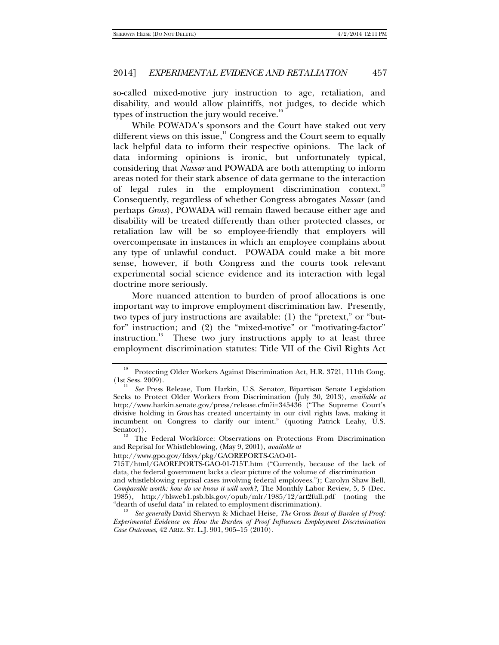so-called mixed-motive jury instruction to age, retaliation, and disability, and would allow plaintiffs, not judges, to decide which types of instruction the jury would receive. $10^{\circ}$ 

While POWADA's sponsors and the Court have staked out very different views on this issue, $11$ <sup>1</sup> Congress and the Court seem to equally lack helpful data to inform their respective opinions. The lack of data informing opinions is ironic, but unfortunately typical, considering that *Nassar* and POWADA are both attempting to inform areas noted for their stark absence of data germane to the interaction of legal rules in the employment discrimination context.<sup>12</sup> Consequently, regardless of whether Congress abrogates *Nassar* (and perhaps *Gross*), POWADA will remain flawed because either age and disability will be treated differently than other protected classes, or retaliation law will be so employee-friendly that employers will overcompensate in instances in which an employee complains about any type of unlawful conduct. POWADA could make a bit more sense, however, if both Congress and the courts took relevant experimental social science evidence and its interaction with legal doctrine more seriously.

More nuanced attention to burden of proof allocations is one important way to improve employment discrimination law. Presently, two types of jury instructions are available: (1) the "pretext," or "butfor" instruction; and (2) the "mixed-motive" or "motivating-factor" instruction.<sup>13</sup> These two jury instructions apply to at least three employment discrimination statutes: Title VII of the Civil Rights Act

Protecting Older Workers Against Discrimination Act, H.R. 3721, 111th Cong. (1st Sess. 2009).

*See* Press Release, Tom Harkin, U.S. Senator, Bipartisan Senate Legislation Seeks to Protect Older Workers from Discrimination (July 30, 2013), *available at*  http://www.harkin.senate.gov/press/release.cfm?i=345436 ("The Supreme Court's divisive holding in *Gross* has created uncertainty in our civil rights laws, making it incumbent on Congress to clarify our intent." (quoting Patrick Leahy, U.S.

 $12$  The Federal Workforce: Observations on Protections From Discrimination and Reprisal for Whistleblowing, (May 9, 2001), *available at*

http://www.gpo.gov/fdsys/pkg/GAOREPORTS-GAO-01-

<sup>715</sup>T/html/GAOREPORTS-GAO-01-715T.htm ("Currently, because of the lack of data, the federal government lacks a clear picture of the volume of discrimination and whistleblowing reprisal cases involving federal employees."); Carolyn Shaw Bell,

*Comparable worth: how do we know it will work?*, The Monthly Labor Review, 5, 5 (Dec. 1985), http://blsweb1.psb.bls.gov/opub/mlr/1985/12/art2full.pdf (noting the "dearth of useful data" in related to employment discrimination).

See generally David Sherwyn & Michael Heise, *The Gross Beast of Burden of Proof: Experimental Evidence on How the Burden of Proof Influences Employment Discrimination Case Outcomes*, 42 ARIZ. ST. L.J. 901, 905–15 (2010).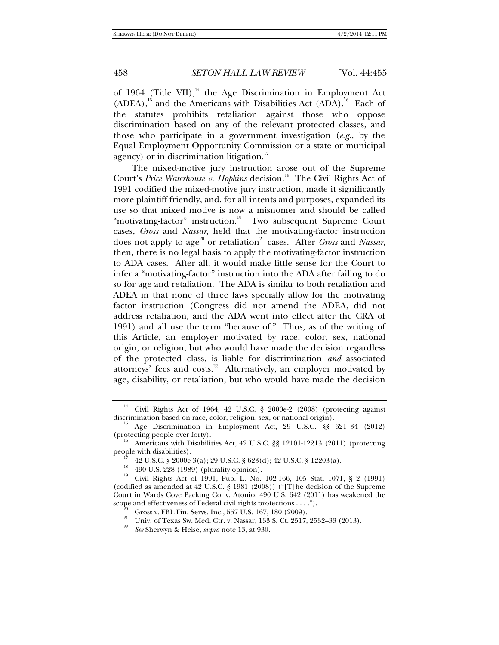of 1964 (Title VII), $^{14}$  the Age Discrimination in Employment Act  $(ADEA)$ ,<sup>15</sup> and the Americans with Disabilities Act  $(ADA)$ .<sup>16</sup> Each of the statutes prohibits retaliation against those who oppose discrimination based on any of the relevant protected classes, and those who participate in a government investigation (*e.g.*, by the Equal Employment Opportunity Commission or a state or municipal agency) or in discrimination litigation.<sup>17</sup>

The mixed-motive jury instruction arose out of the Supreme Court's Price Waterhouse v. Hopkins decision.<sup>18</sup> The Civil Rights Act of 1991 codified the mixed-motive jury instruction, made it significantly more plaintiff-friendly, and, for all intents and purposes, expanded its use so that mixed motive is now a misnomer and should be called "motivating-factor" instruction.<sup>19</sup> Two subsequent Supreme Court cases, *Gross* and *Nassar*, held that the motivating-factor instruction does not apply to age<sup>20</sup> or retaliation<sup>21</sup> cases. After *Gross* and *Nassar*, then, there is no legal basis to apply the motivating-factor instruction to ADA cases. After all, it would make little sense for the Court to infer a "motivating-factor" instruction into the ADA after failing to do so for age and retaliation. The ADA is similar to both retaliation and ADEA in that none of three laws specially allow for the motivating factor instruction (Congress did not amend the ADEA, did not address retaliation, and the ADA went into effect after the CRA of 1991) and all use the term "because of." Thus, as of the writing of this Article, an employer motivated by race, color, sex, national origin, or religion, but who would have made the decision regardless of the protected class, is liable for discrimination *and* associated attorneys' fees and costs.<sup>22</sup> Alternatively, an employer motivated by age, disability, or retaliation, but who would have made the decision

<sup>&</sup>lt;sup>14</sup> Civil Rights Act of 1964, 42 U.S.C. § 2000e-2 (2008) (protecting against discrimination based on race, color, religion, sex, or national origin).

 $^{15}$  Age Discrimination in Employment Act, 29 U.S.C. §§ 621–34 (2012) (protecting people over forty).

 $^{16}$  Americans with Disabilities Act, 42 U.S.C. §§ 12101-12213 (2011) (protecting people with disabilities).

<sup>&</sup>lt;sup>17</sup> 42 U.S.C. § 2000e-3(a); 29 U.S.C. § 623(d); 42 U.S.C. § 12203(a).

<sup>&</sup>lt;sup>18</sup> 490 U.S. 228 (1989) (plurality opinion).

<sup>19</sup> Civil Rights Act of 1991, Pub. L. No. 102-166, 105 Stat. 1071, § 2 (1991) (codified as amended at 42 U.S.C. § 1981 (2008)) ("[T]he decision of the Supreme Court in Wards Cove Packing Co. v. Atonio, 490 U.S. 642 (2011) has weakened the scope and effectiveness of Federal civil rights protections . . . .").

<sup>&</sup>lt;sup>20</sup> Gross v. FBL Fin. Servs. Inc., 557 U.S. 167, 180 (2009).

<sup>21</sup> Univ. of Texas Sw. Med. Ctr. v. Nassar, 133 S. Ct. 2517, 2532–33 (2013).

<sup>22</sup> *See* Sherwyn & Heise, *supra* note 13, at 930.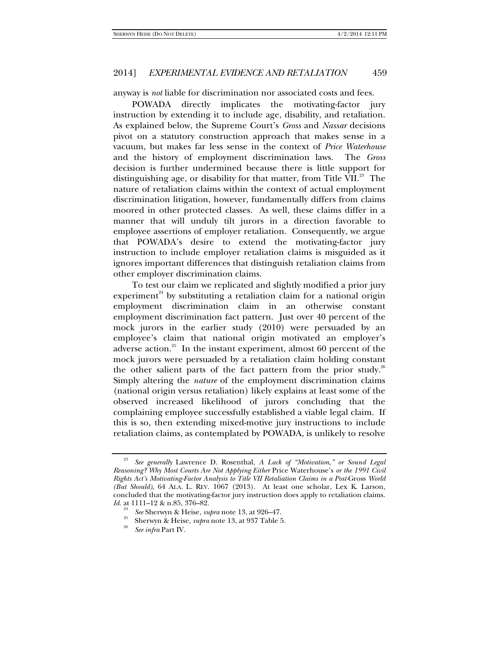anyway is *not* liable for discrimination nor associated costs and fees.

POWADA directly implicates the motivating-factor jury instruction by extending it to include age, disability, and retaliation. As explained below, the Supreme Court's *Gross* and *Nassar* decisions pivot on a statutory construction approach that makes sense in a vacuum, but makes far less sense in the context of *Price Waterhouse* and the history of employment discrimination laws. The *Gross* decision is further undermined because there is little support for distinguishing age, or disability for that matter, from Title VII.<sup>23</sup> The nature of retaliation claims within the context of actual employment discrimination litigation, however, fundamentally differs from claims moored in other protected classes. As well, these claims differ in a manner that will unduly tilt jurors in a direction favorable to employee assertions of employer retaliation. Consequently, we argue that POWADA's desire to extend the motivating-factor jury instruction to include employer retaliation claims is misguided as it ignores important differences that distinguish retaliation claims from other employer discrimination claims.

To test our claim we replicated and slightly modified a prior jury experiment<sup>24</sup> by substituting a retaliation claim for a national origin employment discrimination claim in an otherwise constant employment discrimination fact pattern. Just over 40 percent of the mock jurors in the earlier study (2010) were persuaded by an employee's claim that national origin motivated an employer's adverse action.<sup>25</sup> In the instant experiment, almost 60 percent of the mock jurors were persuaded by a retaliation claim holding constant the other salient parts of the fact pattern from the prior study. $26$ Simply altering the *nature* of the employment discrimination claims (national origin versus retaliation) likely explains at least some of the observed increased likelihood of jurors concluding that the complaining employee successfully established a viable legal claim. If this is so, then extending mixed-motive jury instructions to include retaliation claims, as contemplated by POWADA, is unlikely to resolve

<sup>23</sup> *See generally* Lawrence D. Rosenthal, *A Lack of "Motivation," or Sound Legal Reasoning? Why Most Courts Are Not Applying Either* Price Waterhouse's *or the 1991 Civil Rights Act's Motivating-Factor Analysis to Title VII Retaliation Claims in a Post-*Gross *World (But Should)*, 64 ALA. L. REV. 1067 (2013). At least one scholar, Lex K. Larson, concluded that the motivating-factor jury instruction does apply to retaliation claims. *Id.* at 1111–12 & n.85, 376–82.

<sup>24</sup> <sup>24</sup> See Sherwyn & Heise, *supra* note 13, at 926–47.<br><sup>25</sup> Sherwyn & Heise, *supra* note 13, at 937 Table 5.

*See infra* Part IV.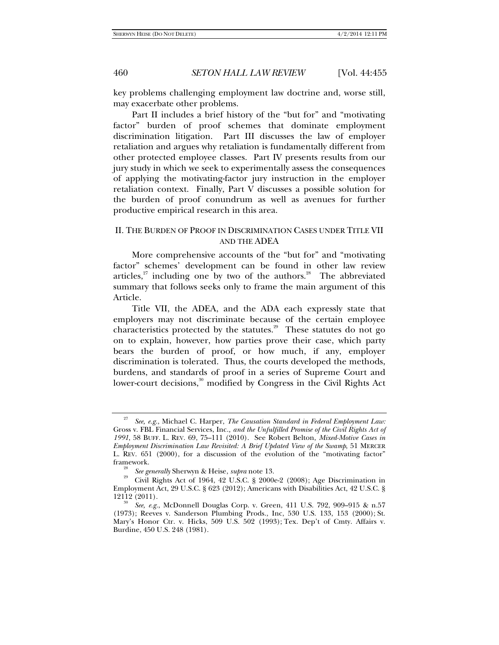key problems challenging employment law doctrine and, worse still, may exacerbate other problems.

Part II includes a brief history of the "but for" and "motivating factor" burden of proof schemes that dominate employment discrimination litigation. Part III discusses the law of employer retaliation and argues why retaliation is fundamentally different from other protected employee classes. Part IV presents results from our jury study in which we seek to experimentally assess the consequences of applying the motivating-factor jury instruction in the employer retaliation context. Finally, Part V discusses a possible solution for the burden of proof conundrum as well as avenues for further productive empirical research in this area.

## II. THE BURDEN OF PROOF IN DISCRIMINATION CASES UNDER TITLE VII AND THE ADEA

More comprehensive accounts of the "but for" and "motivating factor" schemes' development can be found in other law review articles, $27$  including one by two of the authors.<sup>28</sup> The abbreviated summary that follows seeks only to frame the main argument of this Article.

Title VII, the ADEA, and the ADA each expressly state that employers may not discriminate because of the certain employee characteristics protected by the statutes.<sup>29</sup> These statutes do not go on to explain, however, how parties prove their case, which party bears the burden of proof, or how much, if any, employer discrimination is tolerated. Thus, the courts developed the methods, burdens, and standards of proof in a series of Supreme Court and lower-court decisions,<sup>30</sup> modified by Congress in the Civil Rights Act

<sup>27</sup> *See, e.g.*, Michael C. Harper, *The Causation Standard in Federal Employment Law:*  Gross v. FBL Financial Services, Inc.*, and the Unfulfilled Promise of the Civil Rights Act of 1991*, 58 BUFF. L. REV. 69, 75–111 (2010). See Robert Belton, *Mixed-Motive Cases in Employment Discrimination Law Revisited: A Brief Updated View of the Swamp*, 51 MERCER L. REV. 651 (2000), for a discussion of the evolution of the "motivating factor" framework.<br><sup>28</sup> See generally Sherwyn & Heise, *supra* note 13.

<sup>&</sup>lt;sup>29</sup> Civil Rights Act of 1964, 42 U.S.C. § 2000e-2 (2008); Age Discrimination in Employment Act, 29 U.S.C. § 623 (2012); Americans with Disabilities Act, 42 U.S.C. §

<sup>12112 (2011). 30</sup> *See, e.g.*, McDonnell Douglas Corp. v. Green, 411 U.S. 792, 909–915 & n.57 (1973); Reeves v. Sanderson Plumbing Prods., Inc, 530 U.S. 133, 153 (2000); St. Mary's Honor Ctr. v. Hicks, 509 U.S. 502 (1993); Tex. Dep't of Cmty. Affairs v. Burdine, 450 U.S. 248 (1981).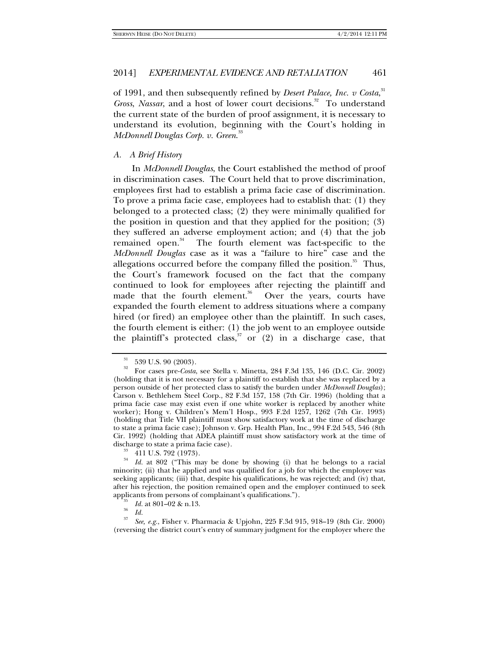of 1991, and then subsequently refined by *Desert Palace, Inc. v Costa*,<sup>31</sup> *Gross, Nassar,* and a host of lower court decisions.<sup>32</sup> To understand the current state of the burden of proof assignment, it is necessary to understand its evolution, beginning with the Court's holding in *McDonnell Douglas Corp. v. Green*. 33

## *A. A Brief History*

In *McDonnell Douglas*, the Court established the method of proof in discrimination cases. The Court held that to prove discrimination, employees first had to establish a prima facie case of discrimination. To prove a prima facie case, employees had to establish that: (1) they belonged to a protected class; (2) they were minimally qualified for the position in question and that they applied for the position; (3) they suffered an adverse employment action; and (4) that the job remained open.<sup>34</sup> The fourth element was fact-specific to the *McDonnell Douglas* case as it was a "failure to hire" case and the allegations occurred before the company filled the position. $35$  Thus, the Court's framework focused on the fact that the company continued to look for employees after rejecting the plaintiff and made that the fourth element.<sup>36</sup> Over the years, courts have expanded the fourth element to address situations where a company hired (or fired) an employee other than the plaintiff. In such cases, the fourth element is either: (1) the job went to an employee outside the plaintiff's protected class,<sup>37</sup> or  $(2)$  in a discharge case, that

 $\frac{31}{32}$  539 U.S. 90 (2003).

<sup>32</sup> For cases pre-*Costa*, see Stella v. Minetta, 284 F.3d 135, 146 (D.C. Cir. 2002) (holding that it is not necessary for a plaintiff to establish that she was replaced by a person outside of her protected class to satisfy the burden under *McDonnell Douglas*); Carson v. Bethlehem Steel Corp., 82 F.3d 157, 158 (7th Cir. 1996) (holding that a prima facie case may exist even if one white worker is replaced by another white worker); Hong v. Children's Mem'l Hosp., 993 F.2d 1257, 1262 (7th Cir. 1993) (holding that Title VII plaintiff must show satisfactory work at the time of discharge to state a prima facie case); Johnson v. Grp. Health Plan, Inc., 994 F.2d 543, 546 (8th Cir. 1992) (holding that ADEA plaintiff must show satisfactory work at the time of discharge to state a prima facie case).<br> $\frac{33}{34}$  411 U.S. 792 (1973).<br> $\frac{34}{16}$  et 809 ("This may be don

<sup>34</sup> *Id.* at 802 ("This may be done by showing (i) that he belongs to a racial minority; (ii) that he applied and was qualified for a job for which the employer was seeking applicants; (iii) that, despite his qualifications, he was rejected; and (iv) that, after his rejection, the position remained open and the employer continued to seek applicants from persons of complainant's qualifications.").<br><sup>35</sup> *Id.* at 801–02 & n.13.<br>*Id.* 

*Id.* 37 *See, e.g.*, Fisher v. Pharmacia & Upjohn, 225 F.3d 915, 918–19 (8th Cir. 2000) (reversing the district court's entry of summary judgment for the employer where the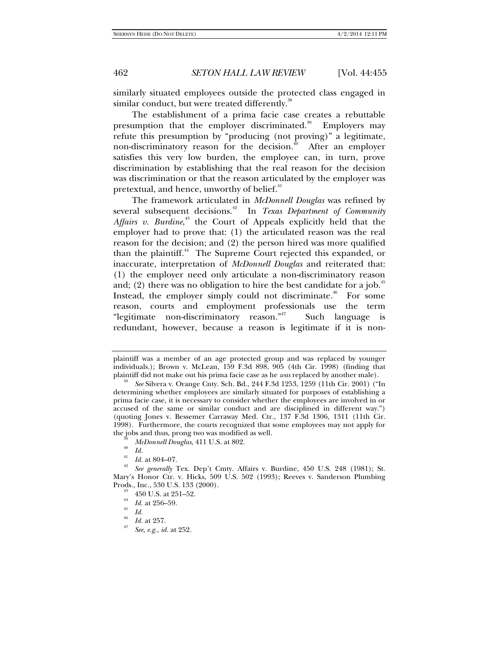similarly situated employees outside the protected class engaged in similar conduct, but were treated differently.<sup>38</sup>

The establishment of a prima facie case creates a rebuttable presumption that the employer discriminated.<sup>39</sup> Employers may refute this presumption by "producing (not proving)" a legitimate, non-discriminatory reason for the decision.<sup> $40$ </sup> After an employer satisfies this very low burden, the employee can, in turn, prove discrimination by establishing that the real reason for the decision was discrimination or that the reason articulated by the employer was pretextual, and hence, unworthy of belief.<sup>41</sup>

The framework articulated in *McDonnell Douglas* was refined by several subsequent decisions.<sup>42</sup> In *Texas Department of Community* Affairs v. Burdine,<sup>43</sup> the Court of Appeals explicitly held that the employer had to prove that: (1) the articulated reason was the real reason for the decision; and (2) the person hired was more qualified than the plaintiff.<sup>44</sup> The Supreme Court rejected this expanded, or inaccurate, interpretation of *McDonnell Douglas* and reiterated that: (1) the employer need only articulate a non-discriminatory reason and; (2) there was no obligation to hire the best candidate for a job. $45$ Instead, the employer simply could not discriminate.<sup>46</sup> For some reason, courts and employment professionals use the term "legitimate non-discriminatory reason."<sup>47</sup> Such language is redundant, however, because a reason is legitimate if it is non-

plaintiff was a member of an age protected group and was replaced by younger individuals.); Brown v. McLean, 159 F.3d 898, 905 (4th Cir. 1998) (finding that plaintiff did not make out his prima facie case as he *was* replaced by another male).

plaintiff did not make out his prima facie case as he *was* replaced by another male). 38 *See* Silvera v. Orange Cnty. Sch. Bd., 244 F.3d 1253, 1259 (11th Cir. 2001) ("In determining whether employees are similarly situated for purposes of establishing a prima facie case, it is necessary to consider whether the employees are involved in or accused of the same or similar conduct and are disciplined in different way.") (quoting Jones v. Bessemer Carraway Med. Ctr., 137 F.3d 1306, 1311 (11th Cir. 1998). Furthermore, the courts recognized that some employees may not apply for the jobs and thus, prong two was modified as well.<br><sup>39</sup> *McDonnell Douglas*, 411 U.S. at 802.<br><sup>40</sup> *Id.* 

*Id.* 41 *Id.* at 804–07. 42 *See generally* Tex. Dep't Cmty. Affairs v. Burdine, 450 U.S. 248 (1981); St. Mary's Honor Ctr. v. Hicks, 509 U.S. 502 (1993); Reeves v. Sanderson Plumbing Prods., Inc., 530 U.S. 133 (2000). 43 450 U.S. at 251–52.

<sup>&</sup>lt;sup>44</sup> *Id.* at 256–59.<br><sup>45</sup> *Id.* 

 $\frac{46}{47}$  *Id.* at 257.

*See, e.g.*, *id.* at 252.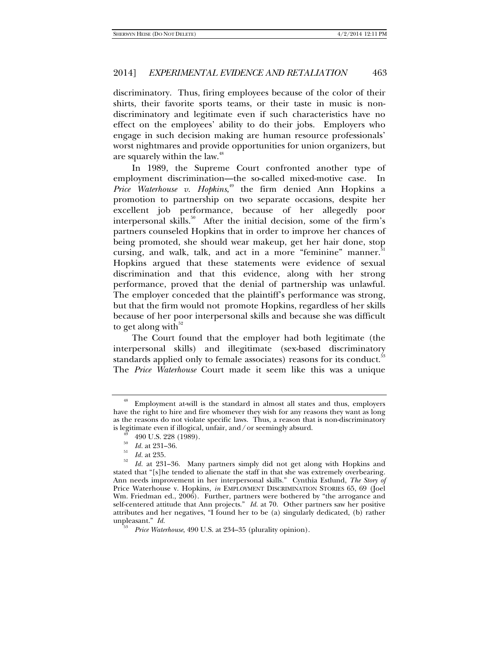discriminatory. Thus, firing employees because of the color of their shirts, their favorite sports teams, or their taste in music is nondiscriminatory and legitimate even if such characteristics have no effect on the employees' ability to do their jobs. Employers who engage in such decision making are human resource professionals' worst nightmares and provide opportunities for union organizers, but are squarely within the law.<sup>48</sup>

In 1989, the Supreme Court confronted another type of employment discrimination—the so-called mixed-motive case. In *Price Waterhouse v. Hopkins*, 49 the firm denied Ann Hopkins a promotion to partnership on two separate occasions, despite her excellent job performance, because of her allegedly poor interpersonal skills.<sup>50</sup> After the initial decision, some of the firm's partners counseled Hopkins that in order to improve her chances of being promoted, she should wear makeup, get her hair done, stop cursing, and walk, talk, and act in a more "feminine" manner.<sup>51</sup> Hopkins argued that these statements were evidence of sexual discrimination and that this evidence, along with her strong performance, proved that the denial of partnership was unlawful. The employer conceded that the plaintiff's performance was strong, but that the firm would not promote Hopkins, regardless of her skills because of her poor interpersonal skills and because she was difficult to get along with $52$ 

The Court found that the employer had both legitimate (the interpersonal skills) and illegitimate (sex-based discriminatory standards applied only to female associates) reasons for its conduct.<sup>53</sup> The *Price Waterhouse* Court made it seem like this was a unique

<sup>48</sup> Employment at-will is the standard in almost all states and thus, employers have the right to hire and fire whomever they wish for any reasons they want as long as the reasons do not violate specific laws. Thus, a reason that is non-discriminatory is legitimate even if illogical, unfair, and / or seemingly absurd.<br> $^{49}$  490 U.S. 228 (1989).

<sup>50</sup>

<sup>&</sup>lt;sup>30</sup> *Id.* at 231–36.<br><sup>51</sup> *Id.* at 235.<br><sup>52</sup> *Id.* at 231–36. Many partners simply did not get along with Hopkins and stated that "[s]he tended to alienate the staff in that she was extremely overbearing. Ann needs improvement in her interpersonal skills." Cynthia Estlund, *The Story of*  Price Waterhouse v. Hopkins, in EMPLOYMENT DISCRIMINATION STORIES 65, 69 (Joel Wm. Friedman ed., 2006). Further, partners were bothered by "the arrogance and self-centered attitude that Ann projects." *Id.* at 70. Other partners saw her positive attributes and her negatives, "I found her to be (a) singularly dedicated, (b) rather unpleasant." *Id.* 

*Price Waterhouse*, 490 U.S. at 234–35 (plurality opinion).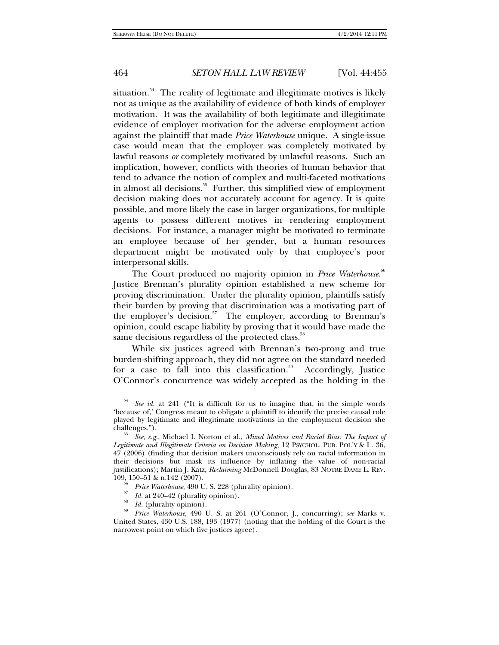situation. $54$  The reality of legitimate and illegitimate motives is likely not as unique as the availability of evidence of both kinds of employer motivation. It was the availability of both legitimate and illegitimate evidence of employer motivation for the adverse employment action against the plaintiff that made *Price Waterhouse* unique. A single-issue case would mean that the employer was completely motivated by lawful reasons *or* completely motivated by unlawful reasons. Such an implication, however, conflicts with theories of human behavior that tend to advance the notion of complex and multi-faceted motivations in almost all decisions.<sup>55</sup> Further, this simplified view of employment decision making does not accurately account for agency. It is quite possible, and more likely the case in larger organizations, for multiple agents to possess different motives in rendering employment decisions. For instance, a manager might be motivated to terminate an employee because of her gender, but a human resources department might be motivated only by that employee's poor interpersonal skills.

The Court produced no majority opinion in *Price Waterhouse*. 56 Justice Brennan's plurality opinion established a new scheme for proving discrimination. Under the plurality opinion, plaintiffs satisfy their burden by proving that discrimination was a motivating part of the employer's decision. $57$  The employer, according to Brennan's opinion, could escape liability by proving that it would have made the same decisions regardless of the protected class.<sup>58</sup>

While six justices agreed with Brennan's two-prong and true burden-shifting approach, they did not agree on the standard needed for a case to fall into this classification.<sup>59</sup> Accordingly, Justice O'Connor's concurrence was widely accepted as the holding in the

*Id.* at 240–42 (plurality opinion).<br>*Id.* (plurality opinion).

<sup>54</sup> *See id.* at 241 ("It is difficult for us to imagine that, in the simple words 'because of,' Congress meant to obligate a plaintiff to identify the precise causal role played by legitimate and illegitimate motivations in the employment decision she challenges."). 55 *See, e.g.*, Michael I. Norton et al., *Mixed Motives and Racial Bias: The Impact of* 

*Legitimate and Illegitimate Criteria on Decision Making*, 12 PSYCHOL. PUB. POL'Y & L. 36, 47 (2006) (finding that decision makers unconsciously rely on racial information in their decisions but mask its influence by inflating the value of non-racial justifications); Martin J. Katz, *Reclaiming* McDonnell Douglas, 83 NOTRE DAME L. REV.

<sup>&</sup>lt;sup>30</sup> *Price Waterhouse*, 490 U. S. 228 (plurality opinion).

<sup>&</sup>lt;sup>59</sup> *Price Waterhouse*, 490 U. S. at 261 (O'Connor, J., concurring); *see* Marks v. United States, 430 U.S. 188, 193 (1977) (noting that the holding of the Court is the narrowest point on which five justices agree).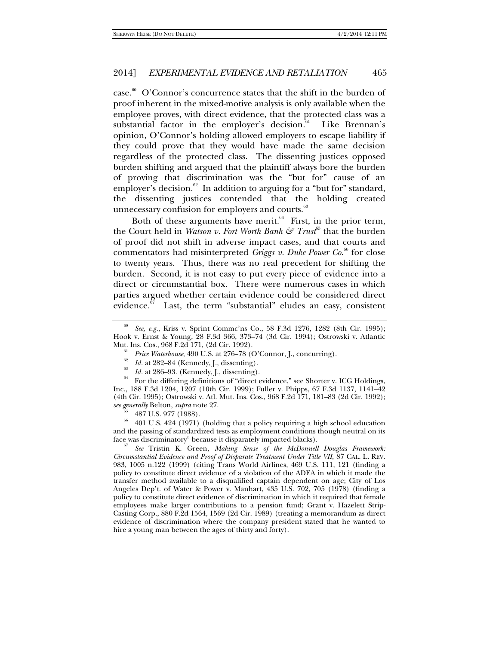case.<sup>60</sup> O'Connor's concurrence states that the shift in the burden of proof inherent in the mixed-motive analysis is only available when the employee proves, with direct evidence, that the protected class was a substantial factor in the employer's decision.<sup>61</sup> Like Brennan's opinion, O'Connor's holding allowed employers to escape liability if they could prove that they would have made the same decision regardless of the protected class. The dissenting justices opposed burden shifting and argued that the plaintiff always bore the burden of proving that discrimination was the "but for" cause of an employer's decision. $62$  In addition to arguing for a "but for" standard, the dissenting justices contended that the holding created unnecessary confusion for employers and courts.<sup>63</sup>

Both of these arguments have merit. $64$  First, in the prior term, the Court held in *Watson v. Fort Worth Bank*  $\mathcal{F}$  Trust<sup>65</sup> that the burden of proof did not shift in adverse impact cases, and that courts and commentators had misinterpreted *Griggs v. Duke Power Co.*<sup>66</sup> for close to twenty years. Thus, there was no real precedent for shifting the burden. Second, it is not easy to put every piece of evidence into a direct or circumstantial box. There were numerous cases in which parties argued whether certain evidence could be considered direct evidence. $67$  Last, the term "substantial" eludes an easy, consistent

<sup>64</sup> For the differing definitions of "direct evidence," see Shorter v. ICG Holdings, Inc., 188 F.3d 1204, 1207 (10th Cir. 1999); Fuller v. Phipps, 67 F.3d 1137, 1141–42 (4th Cir. 1995); Ostrowski v. Atl. Mut. Ins. Cos., 968 F.2d 171, 181–83 (2d Cir. 1992); *see generally* Belton, *supra* note 27.<br><sup>65</sup> 487 U.S. 977 (1988).

66 401 U.S. 424 (1971) (holding that a policy requiring a high school education and the passing of standardized tests as employment conditions though neutral on its face was discriminatory" because it disparately impacted blacks).

 *See* Tristin K. Green, *Making Sense of the McDonnell Douglas Framework: Circumstantial Evidence and Proof of Disparate Treatment Under Title VII*, 87 CAL. L. REV. 983, 1005 n.122 (1999) (citing Trans World Airlines, 469 U.S. 111, 121 (finding a policy to constitute direct evidence of a violation of the ADEA in which it made the transfer method available to a disqualified captain dependent on age; City of Los Angeles Dep't. of Water & Power v. Manhart, 435 U.S. 702, 705 (1978) (finding a policy to constitute direct evidence of discrimination in which it required that female employees make larger contributions to a pension fund; Grant v. Hazelett Strip-Casting Corp., 880 F.2d 1564, 1569 (2d Cir. 1989) (treating a memorandum as direct evidence of discrimination where the company president stated that he wanted to hire a young man between the ages of thirty and forty).

<sup>60</sup> *See, e.g.*, Kriss v. Sprint Commc'ns Co., 58 F.3d 1276, 1282 (8th Cir. 1995); Hook v. Ernst & Young, 28 F.3d 366, 373–74 (3d Cir. 1994); Ostrowski v. Atlantic

Mut. Ins. Cos., 968 F.2d 171, (2d Cir. 1992).<br><sup>61</sup> *Price Waterhouse*, 490 U.S. at 276–78 (O'Connor, J., concurring).<br><sup>62</sup> *Id.* at 282–84 (Kennedy, J., dissenting).<br>*Id.* at 286–93. (Kennedy, J., dissenting).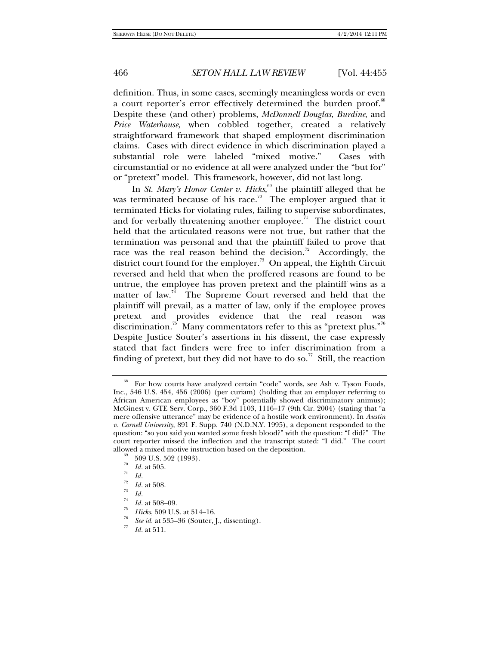definition. Thus, in some cases, seemingly meaningless words or even a court reporter's error effectively determined the burden proof.<sup>68</sup> Despite these (and other) problems, *McDonnell Douglas*, *Burdine*, and *Price Waterhouse*, when cobbled together, created a relatively straightforward framework that shaped employment discrimination claims. Cases with direct evidence in which discrimination played a substantial role were labeled "mixed motive." Cases with circumstantial or no evidence at all were analyzed under the "but for" or "pretext" model. This framework, however, did not last long.

In *St. Mary's Honor Center v. Hicks*, 69 the plaintiff alleged that he was terminated because of his race.<sup>70</sup> The employer argued that it terminated Hicks for violating rules, failing to supervise subordinates, and for verbally threatening another employee.<sup>71</sup> The district court held that the articulated reasons were not true, but rather that the termination was personal and that the plaintiff failed to prove that race was the real reason behind the decision.<sup>72</sup> Accordingly, the district court found for the employer.<sup>73</sup> On appeal, the Eighth Circuit reversed and held that when the proffered reasons are found to be untrue, the employee has proven pretext and the plaintiff wins as a matter of law.<sup>74</sup> The Supreme Court reversed and held that the plaintiff will prevail, as a matter of law, only if the employee proves pretext and provides evidence that the real reason was discrimination.<sup>75</sup> Many commentators refer to this as "pretext plus."<sup>76</sup> Despite Justice Souter's assertions in his dissent, the case expressly stated that fact finders were free to infer discrimination from a finding of pretext, but they did not have to do so.<sup>77</sup> Still, the reaction

For how courts have analyzed certain "code" words, see Ash v. Tyson Foods, Inc., 546 U.S. 454, 456 (2006) (per curiam) (holding that an employer referring to African American employees as "boy" potentially showed discriminatory animus); McGinest v. GTE Serv. Corp., 360 F.3d 1103, 1116–17 (9th Cir. 2004) (stating that "a mere offensive utterance" may be evidence of a hostile work environment). In *Austin v. Cornell University*, 891 F. Supp. 740 (N.D.N.Y. 1995), a deponent responded to the question: "so you said you wanted some fresh blood?" with the question: "I did?" The court reporter missed the inflection and the transcript stated: "I did." The court allowed a mixed motive instruction based on the deposition.<br><sup>69</sup> 509 U.S. 502 (1993).<br><sup>70</sup>  $H$  at 505

 $\frac{71}{71}$  *Id.* at 505.<br> $\frac{72}{72}$  *Id.* at 508.

<sup>&</sup>lt;sup>73</sup> *Id.*<br><sup>74</sup> *Id.* at 508–09.<br><sup>75</sup> *Hicks*, 509 U.S. at 514–16.

<sup>&</sup>lt;sup>76</sup> *See id.* at 535–36 (Souter, J., dissenting).

*Id.* at 511.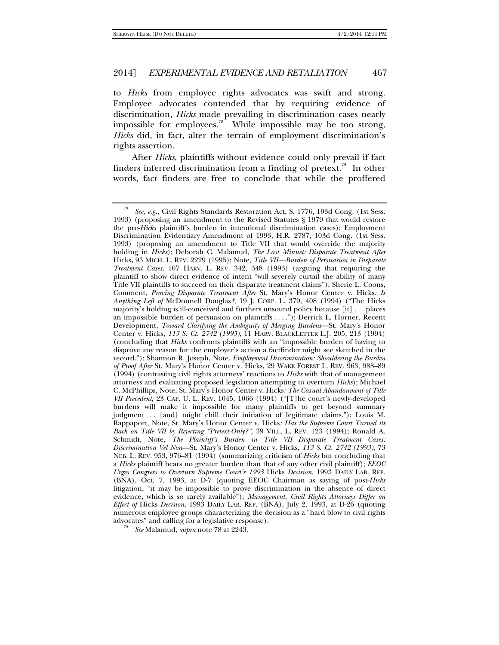to *Hicks* from employee rights advocates was swift and strong. Employee advocates contended that by requiring evidence of discrimination, *Hicks* made prevailing in discrimination cases nearly impossible for employees.<sup>78</sup> While impossible may be too strong, *Hicks* did, in fact, alter the terrain of employment discrimination's rights assertion.

After *Hicks*, plaintiffs without evidence could only prevail if fact finders inferred discrimination from a finding of pretext.<sup>79</sup> In other words, fact finders are free to conclude that while the proffered

*See* Malamud, *supra* note 78 at 2243.

<sup>78</sup> *See, e.g.*, Civil Rights Standards Restoration Act, S. 1776, 103d Cong. (1st Sess. 1993) (proposing an amendment to the Revised Statutes § 1979 that would restore the pre-*Hicks* plaintiff's burden in intentional discrimination cases); Employment Discrimination Evidentiary Amendment of 1993, H.R. 2787, 103d Cong. (1st Sess. 1993) (proposing an amendment to Title VII that would override the majority holding in *Hicks*); Deborah C. Malamud, *The Last Minuet: Disparate Treatment After*  Hicks**,** 93 MICH. L. REV. 2229 (1995); Note, *Title VII—Burden of Persuasion in Disparate Treatment Cases*, 107 HARV. L. REV. 342, 348 (1993) (arguing that requiring the plaintiff to show direct evidence of intent "will severely curtail the ability of many Title VII plaintiffs to succeed on their disparate treatment claims"); Sherie L. Coons, Comment, *Proving Disparate Treatment After* St. Mary's Honor Center v. Hicks*: Is Anything Left of* McDonnell Douglas*?*, 19 J. CORP. L. 379, 408 (1994) ("The Hicks majority's holding is ill-conceived and furthers unsound policy because [it] . . . places an impossible burden of persuasion on plaintiffs . . . ."); Derrick L. Horner, Recent Development, *Toward Clarifying the Ambiguity of Merging Burdens*—St. Mary's Honor Center v. Hicks, *113 S. Ct. 2742 (1993)*, 11 HARV. BLACKLETTER L.J. 205, 213 (1994) (concluding that *Hicks* confronts plaintiffs with an "impossible burden of having to disprove any reason for the employer's action a factfinder might see sketched in the record."); Shannon R. Joseph, Note, *Employment Discrimination: Shouldering the Burden of Proof After* St. Mary's Honor Center v. Hicks, 29 WAKE FOREST L. REV. 963, 988–89 (1994) (contrasting civil rights attorneys' reactions to *Hicks* with that of management attorneys and evaluating proposed legislation attempting to overturn *Hicks*); Michael C. McPhillips, Note, St. Mary's Honor Center v. Hicks*: The Casual Abandonment of Title VII Precedent*, 23 CAP. U. L. REV. 1045, 1066 (1994) ("[T]he court's newly-developed burdens will make it impossible for many plaintiffs to get beyond summary judgment . . . [and] might chill their initiation of legitimate claims."); Louis M. Rappaport, Note, St. Mary's Honor Center v. Hicks*: Has the Supreme Court Turned its Back on Title VII by Rejecting "Pretext-Only?"*, 39 VILL. L. REV. 123 (1994); Ronald A. Schmidt, Note, *The Plaintiff's Burden in Title VII Disparate Treatment Cases: Discrimination Vel Non*—St. Mary's Honor Center v. Hicks*, 113 S. Ct. 2742 (1993)*, 73 NEB. L. REV. 953, 976–81 (1994) (summarizing criticism of *Hicks* but concluding that a *Hicks* plaintiff bears no greater burden than that of any other civil plaintiff); *EEOC Urges Congress to Overturn Supreme Court's 1993* Hicks *Decision*, 1993 DAILY LAB. REP. (BNA), Oct. 7, 1993, at D-7 (quoting EEOC Chairman as saying of post-*Hicks* litigation, "it may be impossible to prove discrimination in the absence of direct evidence, which is so rarely available"); *Management, Civil Rights Attorneys Differ on Effect of* Hicks *Decision*, 1993 DAILY LAB. REP. (BNA), July 2, 1993, at D-26 (quoting numerous employee groups characterizing the decision as a "hard blow to civil rights advocates" and calling for a legislative response).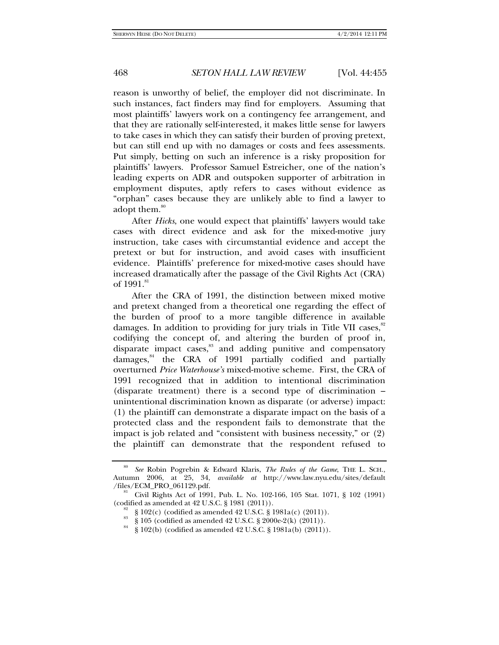reason is unworthy of belief, the employer did not discriminate. In such instances, fact finders may find for employers. Assuming that most plaintiffs' lawyers work on a contingency fee arrangement, and that they are rationally self-interested, it makes little sense for lawyers to take cases in which they can satisfy their burden of proving pretext, but can still end up with no damages or costs and fees assessments. Put simply, betting on such an inference is a risky proposition for plaintiffs' lawyers. Professor Samuel Estreicher, one of the nation's leading experts on ADR and outspoken supporter of arbitration in employment disputes, aptly refers to cases without evidence as "orphan" cases because they are unlikely able to find a lawyer to adopt them.<sup>80</sup>

After *Hicks*, one would expect that plaintiffs' lawyers would take cases with direct evidence and ask for the mixed-motive jury instruction, take cases with circumstantial evidence and accept the pretext or but for instruction, and avoid cases with insufficient evidence. Plaintiffs' preference for mixed-motive cases should have increased dramatically after the passage of the Civil Rights Act (CRA) of  $1991.^{81}$ 

After the CRA of 1991, the distinction between mixed motive and pretext changed from a theoretical one regarding the effect of the burden of proof to a more tangible difference in available damages. In addition to providing for jury trials in Title VII cases, $82$ codifying the concept of, and altering the burden of proof in, disparate impact cases, $83$  and adding punitive and compensatory damages, $84$  the CRA of 1991 partially codified and partially overturned *Price Waterhouse's* mixed-motive scheme. First, the CRA of 1991 recognized that in addition to intentional discrimination (disparate treatment) there is a second type of discrimination – unintentional discrimination known as disparate (or adverse) impact: (1) the plaintiff can demonstrate a disparate impact on the basis of a protected class and the respondent fails to demonstrate that the impact is job related and "consistent with business necessity," or (2) the plaintiff can demonstrate that the respondent refused to

<sup>80</sup> *See* Robin Pogrebin & Edward Klaris, *The Rules of the Game*, THE L. SCH., Autumn 2006, at 25, 34, *available at* http://www.law.nyu.edu/sites/default

<sup>&</sup>lt;sup>81</sup> Civil Rights Act of 1991, Pub. L. No. 102-166, 105 Stat. 1071, § 102 (1991) (codified as amended at 42 U.S.C. § 1981 (2011)).

<sup>&</sup>lt;sup>82</sup> § 102(c) (codified as amended 42 U.S.C. § 1981a(c) (2011)).

<sup>&</sup>lt;sup>83</sup> § 105 (codified as amended 42 U.S.C. § 2000e-2(k) (2011)).

<sup>§ 102(</sup>b) (codified as amended 42 U.S.C. § 1981a(b) (2011)).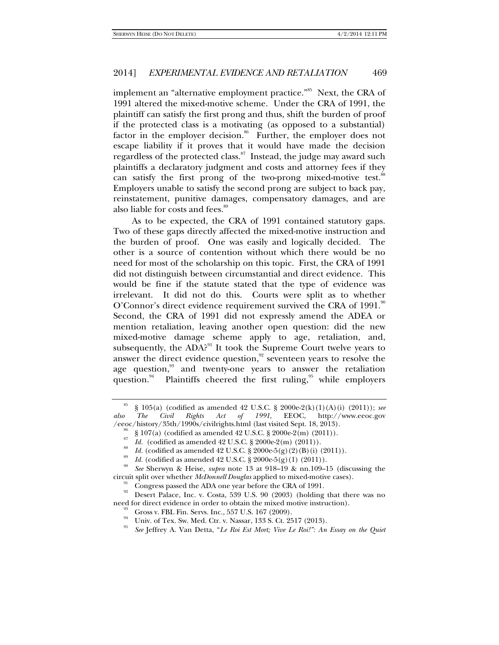implement an "alternative employment practice."<sup>85</sup> Next, the CRA of 1991 altered the mixed-motive scheme. Under the CRA of 1991, the plaintiff can satisfy the first prong and thus, shift the burden of proof if the protected class is a motivating (as opposed to a substantial) factor in the employer decision.<sup>86</sup> Further, the employer does not escape liability if it proves that it would have made the decision regardless of the protected class.<sup>87</sup> Instead, the judge may award such plaintiffs a declaratory judgment and costs and attorney fees if they can satisfy the first prong of the two-prong mixed-motive test.<sup>88</sup> Employers unable to satisfy the second prong are subject to back pay, reinstatement, punitive damages, compensatory damages, and are also liable for costs and fees.<sup>89</sup>

As to be expected, the CRA of 1991 contained statutory gaps. Two of these gaps directly affected the mixed-motive instruction and the burden of proof. One was easily and logically decided. The other is a source of contention without which there would be no need for most of the scholarship on this topic. First, the CRA of 1991 did not distinguish between circumstantial and direct evidence. This would be fine if the statute stated that the type of evidence was irrelevant. It did not do this. Courts were split as to whether O'Connor's direct evidence requirement survived the CRA of 1991.<sup>90</sup> Second, the CRA of 1991 did not expressly amend the ADEA or mention retaliation, leaving another open question: did the new mixed-motive damage scheme apply to age, retaliation, and, subsequently, the ADA?<sup>91</sup> It took the Supreme Court twelve years to answer the direct evidence question, $92$  seventeen years to resolve the age question,<sup>93</sup> and twenty-one years to answer the retaliation question. $94$  Plaintiffs cheered the first ruling, while employers

<sup>&</sup>lt;sup>85</sup> § 105(a) (codified as amended 42 U.S.C. § 2000e-2(k)(1)(A)(i) (2011)); *see also The Civil Rights Act of 1991*, EEOC, http://www.eeoc.gov /eeoc/history/35th/1990s/civilrights.html (last visited Sept. 18, 2013).<br><sup>86</sup> § 107(a) (codified as amended 42 U.S.C. § 2000e-2(m) (2011)).

<sup>&</sup>lt;sup>87</sup> *Id.* (codified as amended 42 U.S.C. § 2000e-2(m) (2011)).<br><sup>88</sup> *Id.* (codified as amended 42 U.S.C. § 2000e-5(g) (2) (B) (i) (2011)).

<sup>&</sup>lt;sup>89</sup> *Id.* (codified as amended 42 U.S.C. § 2000e-5(g)(1) (2011)).<br><sup>90</sup> *See* Sherwyn & Heise, *subra* note 13 at 918–19 & nn.109–15 (discussing the circuit split over whether *McDonnell Douglas* applied to mixed-motive cases).<br><sup>91</sup> Congress passed the ADA one year before the CRA of 1991.

Desert Palace, Inc. v. Costa, 539 U.S. 90 (2003) (holding that there was no need for direct evidence in order to obtain the mixed motive instruction).<br><sup>93</sup> Gross v. FBL Fin. Servs. Inc., 557 U.S. 167 (2009).

Univ. of Tex. Sw. Med. Ctr. v. Nassar, 133 S. Ct. 2517 (2013).

<sup>95</sup> *See* Jeffrey A. Van Detta, "*Le Roi Est Mort; Vive Le Roi!": An Essay on the Quiet*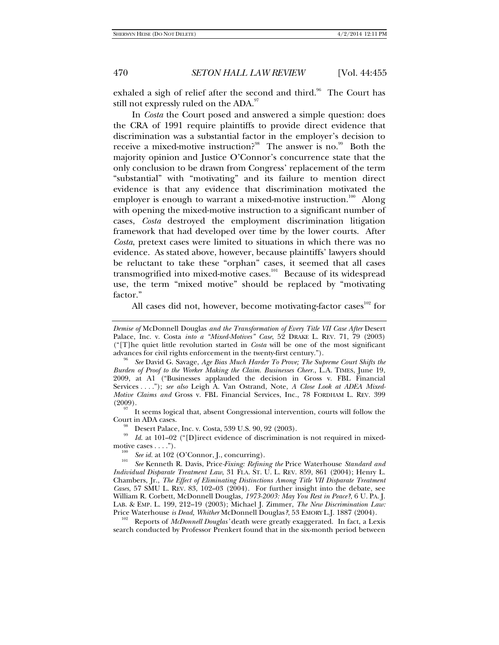exhaled a sigh of relief after the second and third.<sup>96</sup> The Court has still not expressly ruled on the ADA.<sup>97</sup>

In *Costa* the Court posed and answered a simple question: does the CRA of 1991 require plaintiffs to provide direct evidence that discrimination was a substantial factor in the employer's decision to receive a mixed-motive instruction?<sup>98</sup> The answer is no.<sup>99</sup> Both the majority opinion and Justice O'Connor's concurrence state that the only conclusion to be drawn from Congress' replacement of the term "substantial" with "motivating" and its failure to mention direct evidence is that any evidence that discrimination motivated the employer is enough to warrant a mixed-motive instruction.<sup>100</sup> Along with opening the mixed-motive instruction to a significant number of cases, *Costa* destroyed the employment discrimination litigation framework that had developed over time by the lower courts. After *Costa*, pretext cases were limited to situations in which there was no evidence. As stated above, however, because plaintiffs' lawyers should be reluctant to take these "orphan" cases, it seemed that all cases transmogrified into mixed-motive cases.<sup>101</sup> Because of its widespread use, the term "mixed motive" should be replaced by "motivating factor."

All cases did not, however, become motivating-factor cases<sup>102</sup> for

<sup>97</sup> It seems logical that, absent Congressional intervention, courts will follow the Court in ADA cases.

<sup>98</sup> Desert Palace, Inc. v. Costa, 539 U.S. 90, 92 (2003).

*Id.* at 101–02 ("[D]irect evidence of discrimination is not required in mixedmotive cases . . . .").<br><sup>100</sup> *See id.* at 102 (O'Connor, J., concurring).<br><sup>101</sup> *See* Kenneth R. Davis, Price-Fixing: Refining the Price Waterhouse *Standard and* 

*Individual Disparate Treatment Law*, 31 FLA. ST. U. L. REV. 859, 861 (2004); Henry L. Chambers, Jr., *The Effect of Eliminating Distinctions Among Title VII Disparate Treatment Cases*, 57 SMU L. REV. 83, 102–03 (2004). For further insight into the debate, see William R. Corbett, McDonnell Douglas*, 1973-2003: May You Rest in Peace?*, 6 U. PA. J. LAB. & EMP. L. 199, 212–19 (2003); Michael J. Zimmer, *The New Discrimination Law:* 

Reports of *McDonnell Douglas'* death were greatly exaggerated. In fact, a Lexis search conducted by Professor Prenkert found that in the six-month period between

*Demise of* McDonnell Douglas *and the Transformation of Every Title VII Case After* Desert Palace, Inc. v. Costa *into a "Mixed-Motives" Case*, 52 DRAKE L. REV. 71, 79 (2003) ("[T]he quiet little revolution started in *Costa* will be one of the most significant advances for civil rights enforcement in the twenty-first century.").

*See* David G. Savage, *Age Bias Much Harder To Prove; The Supreme Court Shifts the Burden of Proof to the Worker Making the Claim. Businesses Cheer.*, L.A. TIMES, June 19, 2009, at A1 ("Businesses applauded the decision in Gross v. FBL Financial Services *. . .* ."); *see also* Leigh A. Van Ostrand, Note, *A Close Look at ADEA Mixed-Motive Claims and* Gross v. FBL Financial Services, Inc., 78 FORDHAM L. REV. 399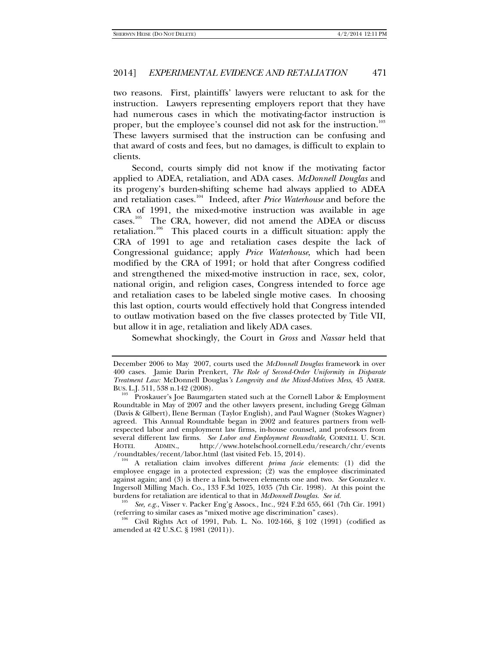two reasons. First, plaintiffs' lawyers were reluctant to ask for the instruction. Lawyers representing employers report that they have had numerous cases in which the motivating-factor instruction is proper, but the employee's counsel did not ask for the instruction.<sup>103</sup> These lawyers surmised that the instruction can be confusing and that award of costs and fees, but no damages, is difficult to explain to clients.

Second, courts simply did not know if the motivating factor applied to ADEA, retaliation, and ADA cases. *McDonnell Douglas* and its progeny's burden-shifting scheme had always applied to ADEA and retaliation cases.104 Indeed, after *Price Waterhouse* and before the CRA of 1991, the mixed-motive instruction was available in age cases.105 The CRA, however, did not amend the ADEA or discuss retaliation.<sup>106</sup> This placed courts in a difficult situation: apply the CRA of 1991 to age and retaliation cases despite the lack of Congressional guidance; apply *Price Waterhouse*, which had been modified by the CRA of 1991; or hold that after Congress codified and strengthened the mixed-motive instruction in race, sex, color, national origin, and religion cases, Congress intended to force age and retaliation cases to be labeled single motive cases. In choosing this last option, courts would effectively hold that Congress intended to outlaw motivation based on the five classes protected by Title VII, but allow it in age, retaliation and likely ADA cases.

Somewhat shockingly, the Court in *Gross* and *Nassar* held that

December 2006 to May 2007, courts used the *McDonnell Douglas* framework in over 400 cases. Jamie Darin Prenkert, *The Role of Second-Order Uniformity in Disparate Treatment Law:* McDonnell Douglas*'s Longevity and the Mixed-Motives Mess*, 45 AMER.

Proskauer's Joe Baumgarten stated such at the Cornell Labor & Employment Roundtable in May of 2007 and the other lawyers present, including Gregg Gilman (Davis & Gilbert), Ilene Berman (Taylor English), and Paul Wagner (Stokes Wagner) agreed. This Annual Roundtable began in 2002 and features partners from wellrespected labor and employment law firms, in-house counsel, and professors from several different law firms. *See Labor and Employment Roundtable*, CORNELL U. SCH.<br>HOTEL ADMIN., http://www.hotelschool.cornell.edu/research/chr/events HOTEL ADMIN., http://www.hotelschool.cornell.edu/research/chr/events<br>/roundtables/recent/labor.html (last visited Feb. 15, 2014).

A retaliation claim involves different *prima facie* elements: (1) did the employee engage in a protected expression; (2) was the employee discriminated against again; and (3) is there a link between elements one and two. *See* Gonzalez v. Ingersoll Milling Mach. Co., 133 F.3d 1025, 1035 (7th Cir. 1998). At this point the burdens for retaliation are identical to that in *McDonnell Douglas*. See id.

<sup>&</sup>lt;sup>105</sup> See, e.g., Visser v. Packer Eng'g Assocs., Inc., 924 F.2d 655, 661 (7th Cir. 1991) (referring to similar cases as "mixed motive age discrimination" cases).

Civil Rights Act of 1991, Pub. L. No. 102-166, § 102 (1991) (codified as amended at 42 U.S.C. § 1981 (2011)).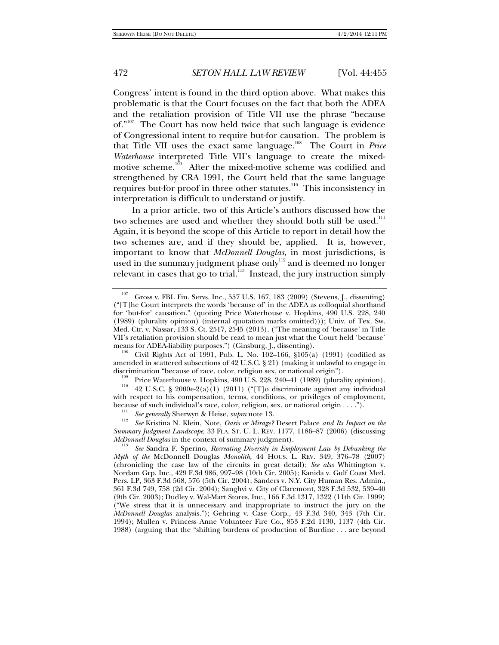Congress' intent is found in the third option above. What makes this problematic is that the Court focuses on the fact that both the ADEA and the retaliation provision of Title VII use the phrase "because of."<sup>107</sup> The Court has now held twice that such language is evidence of Congressional intent to require but-for causation. The problem is that Title VII uses the exact same language.108 The Court in *Price Waterhouse* interpreted Title VII's language to create the mixedmotive scheme.<sup>109</sup> After the mixed-motive scheme was codified and strengthened by CRA 1991, the Court held that the same language requires but-for proof in three other statutes.<sup>110</sup> This inconsistency in interpretation is difficult to understand or justify.

In a prior article, two of this Article's authors discussed how the two schemes are used and whether they should both still be used.<sup>111</sup> Again, it is beyond the scope of this Article to report in detail how the two schemes are, and if they should be, applied. It is, however, important to know that *McDonnell Douglas*, in most jurisdictions, is used in the summary judgment phase only $^{\rm 112}$  and is deemed no longer relevant in cases that go to trial. $113$  Instead, the jury instruction simply

Civil Rights Act of 1991, Pub. L. No. 102-166,  $$105(a)$  (1991) (codified as amended in scattered subsections of 42 U.S.C. § 21) (making it unlawful to engage in

<sup>107</sup> Gross v. FBL Fin. Servs. Inc., 557 U.S. 167, 183 (2009) (Stevens, J., dissenting) ("[T]he Court interprets the words 'because of' in the ADEA as colloquial shorthand for 'but-for' causation." (quoting Price Waterhouse v. Hopkins, 490 U.S. 228, 240 (1989) (plurality opinion) (internal quotation marks omitted))); Univ. of Tex. Sw. Med. Ctr. v. Nassar, 133 S. Ct. 2517, 2545 (2013). ("The meaning of 'because' in Title VII's retaliation provision should be read to mean just what the Court held 'because' means for ADEA-liability purposes.") (Ginsburg, J., dissenting).

discrimination "because of race, color, religion sex, or national origin").<br><sup>109</sup> Price Waterhouse v. Hopkins, 490 U.S. 228, 240–41 (1989) (plurality opinion).<br><sup>110</sup> 42 U.S.C. § 2000e-2(a)(1) (2011) ("[T]o discriminate ag with respect to his compensation, terms, conditions, or privileges of employment, because of such individual's race, color, religion, sex, or national origin . . . .").<br><sup>111</sup> *See generally* Sherwyn & Heise, *supra* note 13.<br><sup>112</sup> *See Website, N. W. 1124 Colores Minneel* Desert Pelase and the Interio

*See* Kristina N. Klein, Note, *Oasis or Mirage?* Desert Palace *and Its Impact on the Summary Judgment Landscape*, 33 FLA. ST. U. L. REV. 1177, 1186–87 (2006) (discussing *McDonnell Douglas* in the context of summary judgment).

*See* Sandra F. Sperino, *Recreating Diversity in Employment Law by Debunking the Myth of the* McDonnell Douglas *Monolith*, 44 HOUS. L. REV. 349, 376–78 (2007) (chronicling the case law of the circuits in great detail); *See also* Whittington v. Nordam Grp. Inc., 429 F.3d 986, 997–98 (10th Cir. 2005); Kanida v. Gulf Coast Med. Pers. LP, 363 F.3d 568, 576 (5th Cir. 2004); Sanders v. N.Y. City Human Res. Admin., 361 F.3d 749, 758 (2d Cir. 2004); Sanghvi v. City of Claremont, 328 F.3d 532, 539–40 (9th Cir. 2003); Dudley v. Wal-Mart Stores, Inc., 166 F.3d 1317, 1322 (11th Cir. 1999) ("We stress that it is unnecessary and inappropriate to instruct the jury on the *McDonnell Douglas* analysis."); Gehring v. Case Corp., 43 F.3d 340, 343 (7th Cir. 1994); Mullen v. Princess Anne Volunteer Fire Co., 853 F.2d 1130, 1137 (4th Cir. 1988) (arguing that the "shifting burdens of production of Burdine . . . are beyond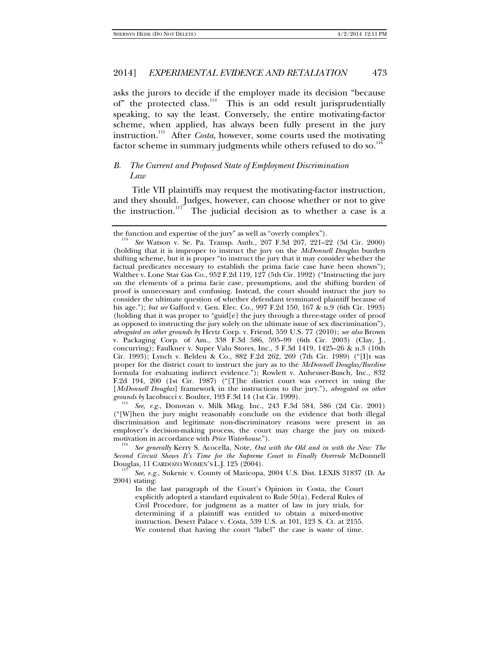asks the jurors to decide if the employer made its decision "because of" the protected class. $114$  This is an odd result jurisprudentially speaking, to say the least. Conversely, the entire motivating-factor scheme, when applied, has always been fully present in the jury instruction.115 After *Costa*, however, some courts used the motivating factor scheme in summary judgments while others refused to do so.<sup>11</sup>

## *B. The Current and Proposed State of Employment Discrimination Law*

Title VII plaintiffs may request the motivating-factor instruction, and they should. Judges, however, can choose whether or not to give the instruction.<sup>117</sup> The judicial decision as to whether a case is a

 *See, e.g.*, Donovan v. Milk Mktg. Inc., 243 F.3d 584, 586 (2d Cir. 2001) ("[W]hen the jury might reasonably conclude on the evidence that both illegal discrimination and legitimate non-discriminatory reasons were present in an employer's decision-making process, the court may charge the jury on mixed-<br>motivation in accordance with Price Waterhouse.").

See generally Kerry S. Acocella, Note, Out with the Old and in with the New: The *Second Circuit Shows It's Time for the Supreme Court to Finally Overrule* McDonnell Douglas, 11 CARDOZO WOMEN'S L.J. 125 (2004).

 *See, e.g.*, Sukenic v. County of Maricopa, 2004 U.S. Dist. LEXIS 31837 (D. Az 2004) stating:

In the last paragraph of the Court's Opinion in Costa, the Court explicitly adopted a standard equivalent to Rule 50(a), Federal Rules of Civil Procedure, for judgment as a matter of law in jury trials, for determining if a plaintiff was entitled to obtain a mixed-motive instruction. Desert Palace v. Costa, 539 U.S. at 101, 123 S. Ct. at 2155. We contend that having the court "label" the case is waste of time.

the function and expertise of the jury" as well as "overly complex").

*See* Watson v. Se. Pa. Transp. Auth., 207 F.3d 207, 221–22 (3d Cir. 2000) (holding that it is improper to instruct the jury on the *McDonnell Douglas* burden shifting scheme, but it is proper "to instruct the jury that it may consider whether the factual predicates necessary to establish the prima facie case have been shown"); Walther v. Lone Star Gas Co., 952 F.2d 119, 127 (5th Cir. 1992) ("Instructing the jury on the elements of a prima facie case, presumptions, and the shifting burden of proof is unnecessary and confusing. Instead, the court should instruct the jury to consider the ultimate question of whether defendant terminated plaintiff because of his age."); *but see* Gafford v. Gen. Elec. Co*.*, 997 F.2d 150, 167 & n.9 (6th Cir. 1993) (holding that it was proper to "guid[e] the jury through a three-stage order of proof as opposed to instructing the jury solely on the ultimate issue of sex discrimination"), *abrogated on other grounds by* Hertz Corp. v. Friend, 559 U.S. 77 (2010); *see also* Brown v. Packaging Corp. of Am., 338 F.3d 586, 595–99 (6th Cir. 2003) (Clay, J., concurring); Faulkner v. Super Valu Stores, Inc., 3 F.3d 1419, 1425–26 & n.3 (10th Cir. 1993); Lynch v. Belden & Co., 882 F.2d 262, 269 (7th Cir. 1989) ("[I]t was proper for the district court to instruct the jury as to the *McDonnell Douglas/Burdine* formula for evaluating indirect evidence."); Rowlett v. Anheuser-Busch, Inc., 832 F.2d 194, 200 (1st Cir. 1987) ("[T]he district court was correct in using the [*McDonnell Douglas*] framework in the instructions to the jury."), *abrogated on other grounds by* Iacobucci v. Boulter, 193 F.3d 14 (1st Cir. 1999). 115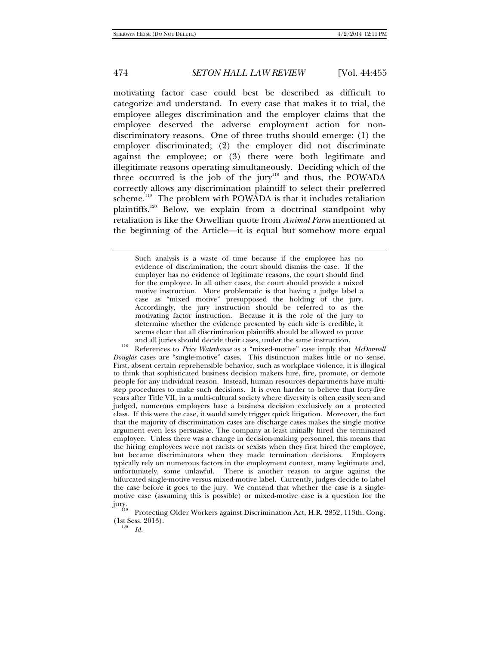motivating factor case could best be described as difficult to categorize and understand. In every case that makes it to trial, the employee alleges discrimination and the employer claims that the employee deserved the adverse employment action for nondiscriminatory reasons. One of three truths should emerge: (1) the employer discriminated; (2) the employer did not discriminate against the employee; or (3) there were both legitimate and illegitimate reasons operating simultaneously. Deciding which of the three occurred is the job of the jury<sup>118</sup> and thus, the POWADA correctly allows any discrimination plaintiff to select their preferred scheme.<sup>119</sup> The problem with POWADA is that it includes retaliation plaintiffs.<sup>120</sup> Below, we explain from a doctrinal standpoint why retaliation is like the Orwellian quote from *Animal Farm* mentioned at the beginning of the Article—it is equal but somehow more equal

and all juries should decide their cases, under the same instruction. 118 References to *Price Waterhouse* as a "mixed-motive" case imply that *McDonnell Douglas* cases are "single-motive" cases. This distinction makes little or no sense. First, absent certain reprehensible behavior, such as workplace violence, it is illogical to think that sophisticated business decision makers hire, fire, promote, or demote people for any individual reason. Instead, human resources departments have multistep procedures to make such decisions. It is even harder to believe that forty-five years after Title VII, in a multi-cultural society where diversity is often easily seen and judged, numerous employers base a business decision exclusively on a protected class. If this were the case, it would surely trigger quick litigation. Moreover, the fact that the majority of discrimination cases are discharge cases makes the single motive argument even less persuasive. The company at least initially hired the terminated employee. Unless there was a change in decision-making personnel, this means that the hiring employees were not racists or sexists when they first hired the employee, but became discriminators when they made termination decisions. Employers typically rely on numerous factors in the employment context, many legitimate and, unfortunately, some unlawful. There is another reason to argue against the bifurcated single-motive versus mixed-motive label. Currently, judges decide to label the case before it goes to the jury. We contend that whether the case is a singlemotive case (assuming this is possible) or mixed-motive case is a question for the

jury. 119 Protecting Older Workers against Discrimination Act, H.R. 2852, 113th. Cong. (1st Sess. 2013).

 $I^{120}$  *Id.* 

Such analysis is a waste of time because if the employee has no evidence of discrimination, the court should dismiss the case. If the employer has no evidence of legitimate reasons, the court should find for the employee. In all other cases, the court should provide a mixed motive instruction. More problematic is that having a judge label a case as "mixed motive" presupposed the holding of the jury. Accordingly, the jury instruction should be referred to as the motivating factor instruction. Because it is the role of the jury to determine whether the evidence presented by each side is credible, it seems clear that all discrimination plaintiffs should be allowed to prove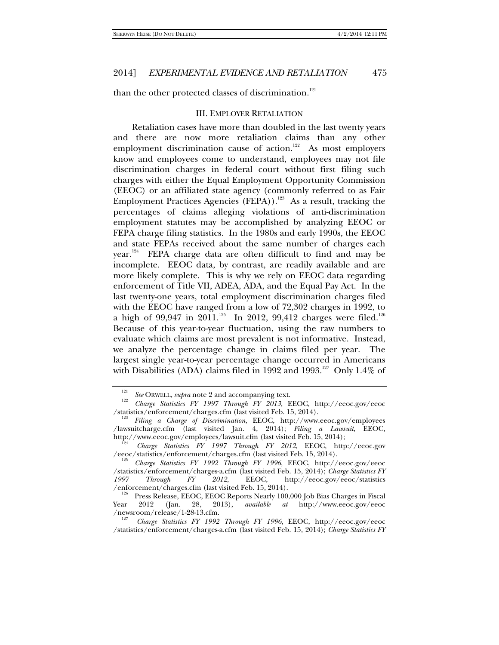than the other protected classes of discrimination.<sup>121</sup>

#### III. EMPLOYER RETALIATION

Retaliation cases have more than doubled in the last twenty years and there are now more retaliation claims than any other employment discrimination cause of action.<sup>122</sup> As most employers know and employees come to understand, employees may not file discrimination charges in federal court without first filing such charges with either the Equal Employment Opportunity Commission (EEOC) or an affiliated state agency (commonly referred to as Fair Employment Practices Agencies (FEPA)).<sup>123</sup> As a result, tracking the percentages of claims alleging violations of anti-discrimination employment statutes may be accomplished by analyzing EEOC or FEPA charge filing statistics. In the 1980s and early 1990s, the EEOC and state FEPAs received about the same number of charges each year.<sup>124</sup> FEPA charge data are often difficult to find and may be incomplete. EEOC data, by contrast, are readily available and are more likely complete. This is why we rely on EEOC data regarding enforcement of Title VII, ADEA, ADA, and the Equal Pay Act. In the last twenty-one years, total employment discrimination charges filed with the EEOC have ranged from a low of 72,302 charges in 1992, to a high of 99,947 in 2011.<sup>125</sup> In 2012, 99,412 charges were filed.<sup>126</sup> Because of this year-to-year fluctuation, using the raw numbers to evaluate which claims are most prevalent is not informative. Instead, we analyze the percentage change in claims filed per year. The largest single year-to-year percentage change occurred in Americans with Disabilities (ADA) claims filed in 1992 and 1993.<sup>127</sup> Only 1.4% of

<sup>&</sup>lt;sup>121</sup> See ORWELL, *supra* note 2 and accompanying text.

*Charge Statistics FY 1997 Through FY 2013*, EEOC, http://eeoc.gov/eeoc /statistics/enforcement/charges.cfm (last visited Feb. 15, 2014).

*Filing a Charge of Discrimination*, EEOC, http://www.eeoc.gov/employees /lawsuitcharge.cfm (last visited Jan. 4, 2014); *Filing a Lawsuit*, EEOC, http://www.eeoc.gov/employees/lawsuit.cfm (last visited Feb. 15, 2014);

*Charge Statistics FY 1997 Through FY 2012*, EEOC, http://eeoc.gov /eeoc/statistics/enforcement/charges.cfm (last visited Feb. 15, 2014).

*Charge Statistics FY 1992 Through FY 1996*, EEOC, http://eeoc.gov/eeoc /statistics/enforcement/charges-a.cfm (last visited Feb. 15, 2014); *Charge Statistics FY 1997 Through FY 2012*, EEOC, http://eeoc.gov/eeoc/statistics

Press Release, EEOC, EEOC Reports Nearly 100,000 Job Bias Charges in Fiscal<br>2012 (Jan. 28, 2013), *available at* http://www.eeoc.gov/eeoc Year 2012 (Jan. 28, 2013), *available at* http://www.eeoc.gov/eeoc /newsroom/release/1-28-13.cfm. 127 *Charge Statistics FY 1992 Through FY 1996*, EEOC, http://eeoc.gov/eeoc

<sup>/</sup>statistics/enforcement/charges-a.cfm (last visited Feb. 15, 2014); *Charge Statistics FY*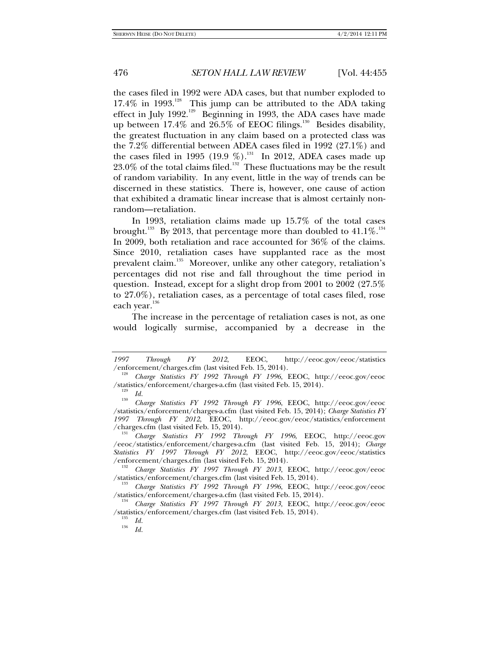the cases filed in 1992 were ADA cases, but that number exploded to  $17.4\%$  in 1993.<sup>128</sup> This jump can be attributed to the ADA taking effect in July 1992.<sup>129</sup> Beginning in 1993, the ADA cases have made up between 17.4% and 26.5% of EEOC filings.<sup>130</sup> Besides disability, the greatest fluctuation in any claim based on a protected class was the 7.2% differential between ADEA cases filed in 1992 (27.1%) and the cases filed in 1995 (19.9 %).<sup>131</sup> In 2012, ADEA cases made up  $23.0\%$  of the total claims filed.<sup>132</sup> These fluctuations may be the result of random variability. In any event, little in the way of trends can be discerned in these statistics. There is, however, one cause of action that exhibited a dramatic linear increase that is almost certainly nonrandom—retaliation.

In 1993, retaliation claims made up 15.7% of the total cases brought. $^{133}$  By 2013, that percentage more than doubled to  $41.1\%$ . $^{134}$ In 2009, both retaliation and race accounted for 36% of the claims. Since 2010, retaliation cases have supplanted race as the most prevalent claim.<sup>135</sup> Moreover, unlike any other category, retaliation's percentages did not rise and fall throughout the time period in question. Instead, except for a slight drop from 2001 to 2002 (27.5% to 27.0%), retaliation cases, as a percentage of total cases filed, rose each year.<sup>136</sup>

The increase in the percentage of retaliation cases is not, as one would logically surmise, accompanied by a decrease in the

*<sup>1997</sup> Through FY 2012*, EEOC, http://eeoc.gov/eeoc/statistics /enforcement/charges.cfm (last visited Feb. 15, 2014).

*Charge Statistics FY 1992 Through FY 1996*, EEOC, http://eeoc.gov/eeoc /statistics/enforcement/charges-a.cfm (last visited Feb. 15, 2014).

 $\frac{129}{130}$  *Id.* 

*Charge Statistics FY 1992 Through FY 1996*, EEOC, http://eeoc.gov/eeoc /statistics/enforcement/charges-a.cfm (last visited Feb. 15, 2014); *Charge Statistics FY 1997 Through FY 2012*, EEOC, http://eeoc.gov/eeoc/statistics/enforcement /charges.cfm (last visited Feb. 15, 2014). 131 *Charge Statistics FY 1992 Through FY 1996*, EEOC, http://eeoc.gov

<sup>/</sup>eeoc/statistics/enforcement/charges-a.cfm (last visited Feb. 15, 2014); *Charge Statistics FY 1997 Through FY 2012*, EEOC, http://eeoc.gov/eeoc/statistics

<sup>&</sup>lt;sup>132</sup> *Charge Statistics FY 1997 Through FY 2013*, EEOC, http://eeoc.gov/eeoc<br>/statistics/enforcement/charges.cfm (last visited Feb. 15, 2014).

<sup>&</sup>lt;sup>133</sup> *Charge Statistics FY 1992 Through FY 1996*, EEOC, http://eeoc.gov/eeoc<br>/statistics/enforcement/charges-a.cfm (last visited Feb. 15, 2014).

<sup>&</sup>lt;sup>134</sup> Charge Statistics FY 1997 Through FY 2013, EEOC, http://eeoc.gov/eeoc /statistics/enforcement/charges.cfm (last visited Feb. 15, 2014). 135 *Id.* <sup>136</sup> *Id.*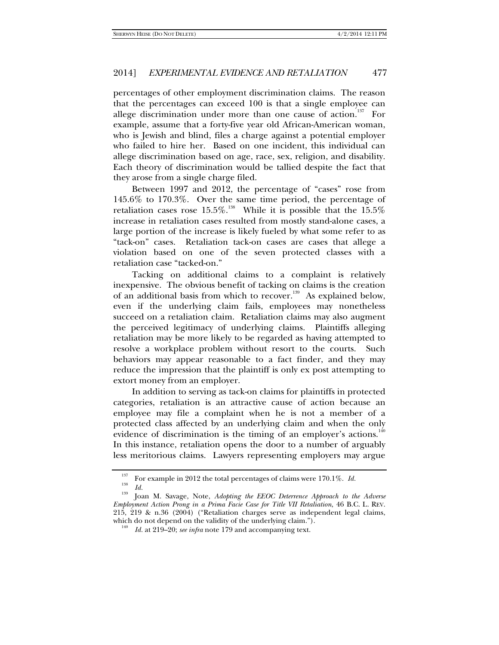percentages of other employment discrimination claims. The reason that the percentages can exceed 100 is that a single employee can allege discrimination under more than one cause of action.<sup>137</sup> For example, assume that a forty-five year old African-American woman, who is Jewish and blind, files a charge against a potential employer who failed to hire her. Based on one incident, this individual can allege discrimination based on age, race, sex, religion, and disability. Each theory of discrimination would be tallied despite the fact that they arose from a single charge filed.

Between 1997 and 2012, the percentage of "cases" rose from 145.6% to 170.3%. Over the same time period, the percentage of retaliation cases rose  $15.5\%$ .<sup>138</sup> While it is possible that the  $15.5\%$ increase in retaliation cases resulted from mostly stand-alone cases, a large portion of the increase is likely fueled by what some refer to as "tack-on" cases. Retaliation tack-on cases are cases that allege a violation based on one of the seven protected classes with a retaliation case "tacked-on."

Tacking on additional claims to a complaint is relatively inexpensive. The obvious benefit of tacking on claims is the creation of an additional basis from which to recover.<sup>139</sup> As explained below, even if the underlying claim fails, employees may nonetheless succeed on a retaliation claim. Retaliation claims may also augment the perceived legitimacy of underlying claims. Plaintiffs alleging retaliation may be more likely to be regarded as having attempted to resolve a workplace problem without resort to the courts. Such behaviors may appear reasonable to a fact finder, and they may reduce the impression that the plaintiff is only ex post attempting to extort money from an employer.

In addition to serving as tack-on claims for plaintiffs in protected categories, retaliation is an attractive cause of action because an employee may file a complaint when he is not a member of a protected class affected by an underlying claim and when the only evidence of discrimination is the timing of an employer's actions.<sup>140</sup> In this instance, retaliation opens the door to a number of arguably less meritorious claims. Lawyers representing employers may argue

<sup>&</sup>lt;sup>137</sup> For example in 2012 the total percentages of claims were 170.1%. *Id. Id. Id.* 

<sup>&</sup>lt;sup>139</sup> Joan M. Savage, Note, *Adopting the EEOC Deterrence Approach to the Adverse Employment Action Prong in a Prima Facie Case for Title VII Retaliation*, 46 B.C. L. REV. 215, 219 & n.36 (2004) ("Retaliation charges serve as independent legal claims, which do not depend on the validity of the underlying claim.").

*Id.* at 219–20; *see infra* note 179 and accompanying text.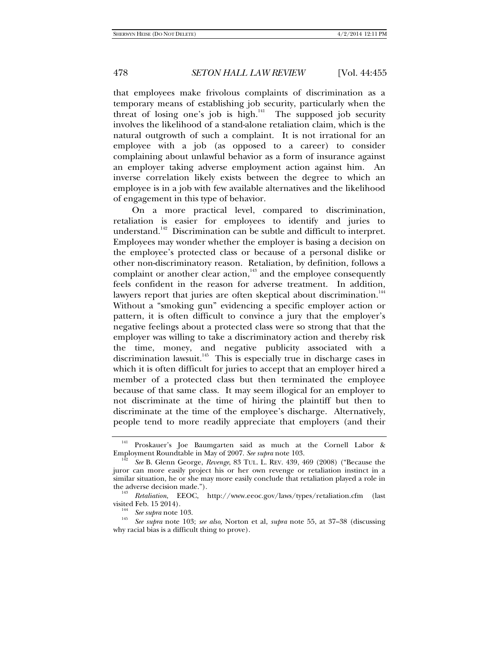that employees make frivolous complaints of discrimination as a temporary means of establishing job security, particularly when the threat of losing one's job is high. $\frac{1}{141}$  The supposed job security involves the likelihood of a stand-alone retaliation claim, which is the natural outgrowth of such a complaint. It is not irrational for an employee with a job (as opposed to a career) to consider complaining about unlawful behavior as a form of insurance against an employer taking adverse employment action against him. An inverse correlation likely exists between the degree to which an employee is in a job with few available alternatives and the likelihood of engagement in this type of behavior.

On a more practical level, compared to discrimination, retaliation is easier for employees to identify and juries to understand.<sup>142</sup> Discrimination can be subtle and difficult to interpret. Employees may wonder whether the employer is basing a decision on the employee's protected class or because of a personal dislike or other non-discriminatory reason. Retaliation, by definition, follows a complaint or another clear action, $143$  and the employee consequently feels confident in the reason for adverse treatment. In addition, lawyers report that juries are often skeptical about discrimination.<sup>144</sup> Without a "smoking gun" evidencing a specific employer action or pattern, it is often difficult to convince a jury that the employer's negative feelings about a protected class were so strong that that the employer was willing to take a discriminatory action and thereby risk the time, money, and negative publicity associated with a discrimination lawsuit.<sup>145</sup> This is especially true in discharge cases in which it is often difficult for juries to accept that an employer hired a member of a protected class but then terminated the employee because of that same class. It may seem illogical for an employer to not discriminate at the time of hiring the plaintiff but then to discriminate at the time of the employee's discharge. Alternatively, people tend to more readily appreciate that employers (and their

<sup>&</sup>lt;sup>141</sup> Proskauer's Joe Baumgarten said as much at the Cornell Labor & Employment Roundtable in May of 2007. See supra note 103.

See B. Glenn George, *Revenge*, 83 TUL. L. REV. 439, 469 (2008) ("Because the juror can more easily project his or her own revenge or retaliation instinct in a similar situation, he or she may more easily conclude that retaliation played a role in the adverse decision made.").

*Retaliation*, EEOC, http://www.eeoc.gov/laws/types/retaliation.cfm (last visited Feb. 15 2014).<br> $\frac{144}{\text{2}}$  See supra note 103.

*See supra* note 103. 145 *See supra* note 103; *see also,* Norton et al, *supra* note 55, at 37–38 (discussing why racial bias is a difficult thing to prove).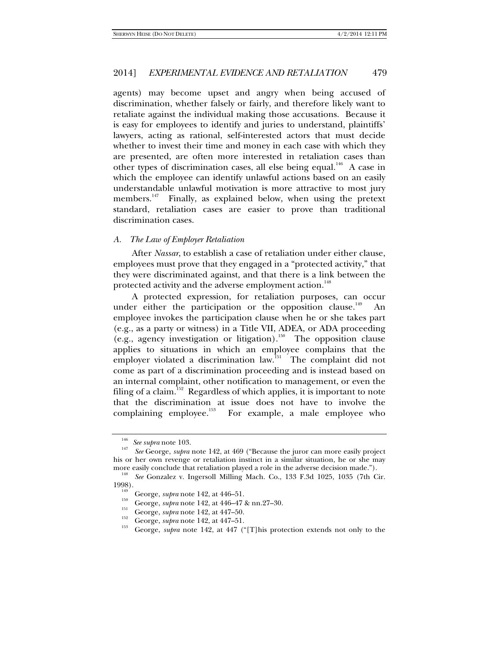agents) may become upset and angry when being accused of discrimination, whether falsely or fairly, and therefore likely want to retaliate against the individual making those accusations. Because it is easy for employees to identify and juries to understand, plaintiffs' lawyers, acting as rational, self-interested actors that must decide whether to invest their time and money in each case with which they are presented, are often more interested in retaliation cases than other types of discrimination cases, all else being equal.<sup>146</sup> A case in which the employee can identify unlawful actions based on an easily understandable unlawful motivation is more attractive to most jury members.<sup>147</sup> Finally, as explained below, when using the pretext standard, retaliation cases are easier to prove than traditional discrimination cases.

### *A. The Law of Employer Retaliation*

After *Nassar*, to establish a case of retaliation under either clause, employees must prove that they engaged in a "protected activity," that they were discriminated against, and that there is a link between the protected activity and the adverse employment action.<sup>148</sup>

A protected expression, for retaliation purposes, can occur under either the participation or the opposition clause. $149$ employee invokes the participation clause when he or she takes part (e.g., as a party or witness) in a Title VII, ADEA, or ADA proceeding (e.g., agency investigation or litigation).<sup>150</sup> The opposition clause applies to situations in which an employee complains that the employer violated a discrimination law.<sup>151</sup> The complaint did not come as part of a discrimination proceeding and is instead based on an internal complaint, other notification to management, or even the filing of a claim.<sup>152</sup> Regardless of which applies, it is important to note that the discrimination at issue does not have to involve the complaining employee.<sup>153</sup> For example, a male employee who

<sup>&</sup>lt;sup>146</sup> See supra note 103.

*See* George, *supra* note 142, at 469 ("Because the juror can more easily project his or her own revenge or retaliation instinct in a similar situation, he or she may

more easily conclude that retaliation played a role in the adverse decision made.").<br><sup>148</sup> *See* Gonzalez v. Ingersoll Milling Mach. Co., 133 F.3d 1025, 1035 (7th Cir.<br>1998).

George, *supra* note 142, at 446–51.<br>
<sup>150</sup> George, *supra* note 142, at 446–47 & nn.27–30.<br>
<sup>151</sup> George, *supra* note 142, at 447–50.<br>
<sup>152</sup> George, *supra* note 142, at 447–51.<br>
<sup>153</sup> George, *supra* note 142, at 447 (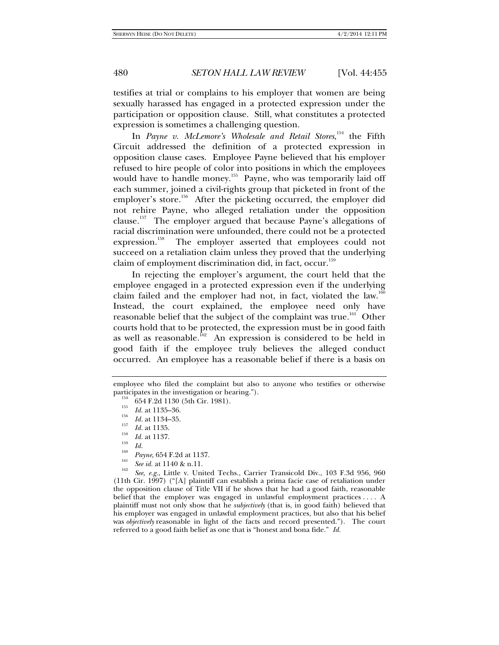testifies at trial or complains to his employer that women are being sexually harassed has engaged in a protected expression under the participation or opposition clause. Still, what constitutes a protected expression is sometimes a challenging question.

In *Payne v. McLemore's Wholesale and Retail Stores*, 154 the Fifth Circuit addressed the definition of a protected expression in opposition clause cases. Employee Payne believed that his employer refused to hire people of color into positions in which the employees would have to handle money.<sup>155</sup> Payne, who was temporarily laid off each summer, joined a civil-rights group that picketed in front of the employer's store.<sup>156</sup> After the picketing occurred, the employer did not rehire Payne, who alleged retaliation under the opposition clause.157 The employer argued that because Payne's allegations of racial discrimination were unfounded, there could not be a protected expression.<sup>158</sup> The employer asserted that employees could not succeed on a retaliation claim unless they proved that the underlying claim of employment discrimination did, in fact, occur.<sup>159</sup>

In rejecting the employer's argument, the court held that the employee engaged in a protected expression even if the underlying claim failed and the employer had not, in fact, violated the law.<sup>160</sup> Instead, the court explained, the employee need only have reasonable belief that the subject of the complaint was true.<sup>161</sup> Other courts hold that to be protected, the expression must be in good faith as well as reasonable.<sup>162</sup> An expression is considered to be held in good faith if the employee truly believes the alleged conduct occurred. An employee has a reasonable belief if there is a basis on

employee who filed the complaint but also to anyone who testifies or otherwise participates in the investigation or hearing.").<br>  $^{154}$  654 F.2d 1130 (5th Cir. 1981).<br>  $^{155}$  *Id.* at 1135–36.

<sup>&</sup>lt;sup>156</sup> *Id.* at 1134–35.<br><sup>157</sup> *Id.* at 1135.

<sup>&</sup>lt;sup>158</sup> *Id.* at 1137.

<sup>&</sup>lt;sup>160</sup> *Payne*, 654 F.2d at 1137.<br><sup>161</sup> *See id.* at 1140 & n.11.

*See, e.g.*, Little v. United Techs., Carrier Transicold Div., 103 F.3d 956, 960 (11th Cir. 1997) ("[A] plaintiff can establish a prima facie case of retaliation under the opposition clause of Title VII if he shows that he had a good faith, reasonable belief that the employer was engaged in unlawful employment practices . . . . A plaintiff must not only show that he *subjectively* (that is, in good faith) believed that his employer was engaged in unlawful employment practices, but also that his belief was *objectively* reasonable in light of the facts and record presented."). The court referred to a good faith belief as one that is "honest and bona fide." *Id.*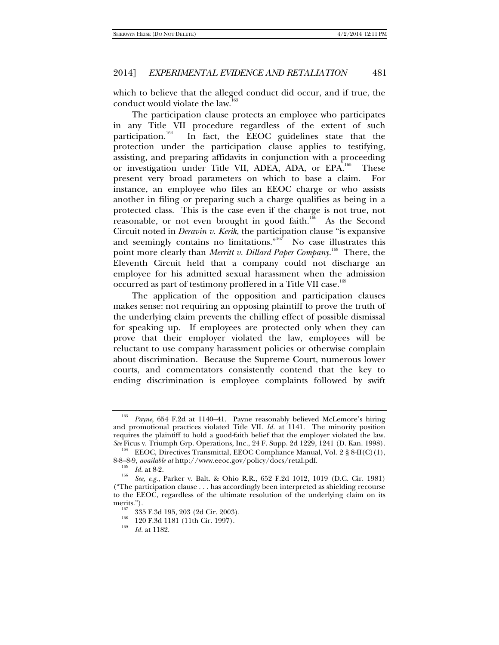which to believe that the alleged conduct did occur, and if true, the conduct would violate the law.<sup>163</sup>

The participation clause protects an employee who participates in any Title VII procedure regardless of the extent of such participation.<sup>164</sup> In fact, the EEOC guidelines state that the protection under the participation clause applies to testifying, assisting, and preparing affidavits in conjunction with a proceeding or investigation under Title VII, ADEA, ADA, or EPA.<sup>165</sup> These present very broad parameters on which to base a claim. For instance, an employee who files an EEOC charge or who assists another in filing or preparing such a charge qualifies as being in a protected class. This is the case even if the charge is not true, not reasonable, or not even brought in good faith.<sup>166</sup> As the Second Circuit noted in *Deravin v. Kerik*, the participation clause "is expansive and seemingly contains no limitations." $167$  No case illustrates this point more clearly than *Merritt v. Dillard Paper Company*. 168 There, the Eleventh Circuit held that a company could not discharge an employee for his admitted sexual harassment when the admission occurred as part of testimony proffered in a Title VII case.<sup>169</sup>

The application of the opposition and participation clauses makes sense: not requiring an opposing plaintiff to prove the truth of the underlying claim prevents the chilling effect of possible dismissal for speaking up. If employees are protected only when they can prove that their employer violated the law, employees will be reluctant to use company harassment policies or otherwise complain about discrimination. Because the Supreme Court, numerous lower courts, and commentators consistently contend that the key to ending discrimination is employee complaints followed by swift

*Payne*, 654 F.2d at 1140–41. Payne reasonably believed McLemore's hiring and promotional practices violated Title VII. *Id.* at 1141. The minority position requires the plaintiff to hold a good-faith belief that the employer violated the law. *See* Ficus v. Triumph Grp. Operations, Inc., 24 F. Supp. 2d 1229, 1241 (D. Kan. 1998).

<sup>&</sup>lt;sup>164</sup> EEOC, Directives Transmittal, EEOC Compliance Manual, Vol. 2 § 8-II(C)(1), 8-8-8-9, *available at* http://www.eeoc.gov/policy/docs/retal.pdf.

<sup>1&</sup>lt;sub>05</sub> *Id.* at 8-2. <br><sup>166</sup> *See, e.g.*, Parker v. Balt. & Ohio R.R., 652 F.2d 1012, 1019 (D.C. Cir. 1981) ("The participation clause . . . has accordingly been interpreted as shielding recourse to the EEOC, regardless of the ultimate resolution of the underlying claim on its merits.").<br><sup>167</sup> 335 F.3d 195, 203 (2d Cir. 2003).<br><sup>168</sup> 120 F.3d 1181 (11th Cir. 1997).

*Id.* at 1182.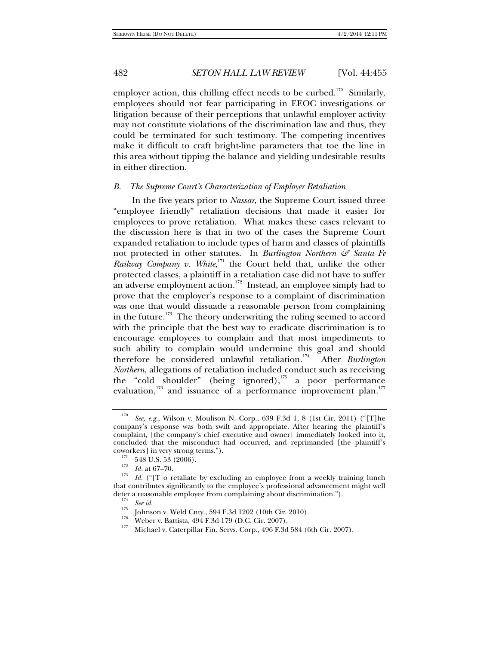employer action, this chilling effect needs to be curbed.<sup>170</sup> Similarly, employees should not fear participating in EEOC investigations or litigation because of their perceptions that unlawful employer activity may not constitute violations of the discrimination law and thus, they could be terminated for such testimony. The competing incentives make it difficult to craft bright-line parameters that toe the line in this area without tipping the balance and yielding undesirable results in either direction.

#### *B. The Supreme Court's Characterization of Employer Retaliation*

In the five years prior to *Nassar*, the Supreme Court issued three "employee friendly" retaliation decisions that made it easier for employees to prove retaliation. What makes these cases relevant to the discussion here is that in two of the cases the Supreme Court expanded retaliation to include types of harm and classes of plaintiffs not protected in other statutes. In *Burlington Northern & Santa Fe*  Railway Company v. White,<sup>171</sup> the Court held that, unlike the other protected classes, a plaintiff in a retaliation case did not have to suffer an adverse employment action.<sup>172</sup> Instead, an employee simply had to prove that the employer's response to a complaint of discrimination was one that would dissuade a reasonable person from complaining in the future.<sup>173</sup> The theory underwriting the ruling seemed to accord with the principle that the best way to eradicate discrimination is to encourage employees to complain and that most impediments to such ability to complain would undermine this goal and should therefore be considered unlawful retaliation.<sup>174</sup> After *Burlington Northern*, allegations of retaliation included conduct such as receiving the "cold shoulder" (being ignored), $175$  a poor performance evaluation,<sup>176</sup> and issuance of a performance improvement plan.<sup>177</sup>

<sup>170</sup> *See, e.g.*, Wilson v. Moulison N. Corp., 639 F.3d 1, 8 (1st Cir. 2011) ("[T]he company's response was both swift and appropriate. After hearing the plaintiff's complaint, [the company's chief executive and owner] immediately looked into it, concluded that the misconduct had occurred, and reprimanded [the plaintiff's coworkers] in very strong terms.").<br>
<sup>171</sup> 548 U.S. 53 (2006).<br> *Id.* at 67–70.<br>
<sup>173</sup> *I*<sub>*l*</sub> (45–70.

*Id.* ("[T]o retaliate by excluding an employee from a weekly training lunch that contributes significantly to the employee's professional advancement might well deter a reasonable employee from complaining about discrimination.").<br>
<sup>174</sup> See id.<br>
<sup>175</sup> Johnson v. Weld Cnty., 594 F.3d 1202 (10th Cir. 2010).<br>
<sup>176</sup> Weber v. Battista, 494 F.3d 179 (D.C. Cir. 2007).<br>
<sup>177</sup> Michael v.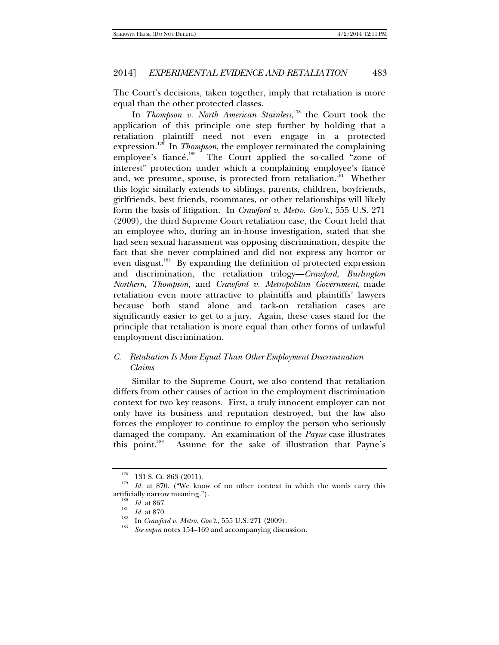The Court's decisions, taken together, imply that retaliation is more equal than the other protected classes.

In *Thompson v. North American Stainless*, <sup>178</sup> the Court took the application of this principle one step further by holding that a retaliation plaintiff need not even engage in a protected expression.<sup>179</sup> In *Thompson*, the employer terminated the complaining employee's fiancé.<sup>180</sup> The Court applied the so-called "zone of interest" protection under which a complaining employee's fiancé and, we presume, spouse, is protected from retaliation.<sup>181</sup> Whether this logic similarly extends to siblings, parents, children, boyfriends, girlfriends, best friends, roommates, or other relationships will likely form the basis of litigation. In *Crawford v. Metro. Gov't.*, 555 U.S. 271 (2009), the third Supreme Court retaliation case, the Court held that an employee who, during an in-house investigation, stated that she had seen sexual harassment was opposing discrimination, despite the fact that she never complained and did not express any horror or even disgust.<sup>182</sup> By expanding the definition of protected expression and discrimination, the retaliation trilogy—*Crawford*, *Burlington Northern*, *Thompson*, and *Crawford v. Metropolitan Government*, made retaliation even more attractive to plaintiffs and plaintiffs' lawyers because both stand alone and tack-on retaliation cases are significantly easier to get to a jury. Again, these cases stand for the principle that retaliation is more equal than other forms of unlawful employment discrimination.

## *C. Retaliation Is More Equal Than Other Employment Discrimination Claims*

Similar to the Supreme Court, we also contend that retaliation differs from other causes of action in the employment discrimination context for two key reasons. First, a truly innocent employer can not only have its business and reputation destroyed, but the law also forces the employer to continue to employ the person who seriously damaged the company. An examination of the *Payne* case illustrates this point.<sup>183</sup> Assume for the sake of illustration that Payne's

 $178$  131 S. Ct. 863 (2011).

<sup>&</sup>lt;sup>179</sup> *Id.* at 870. ("We know of no other context in which the words carry this artificially narrow meaning.").<br>  $\frac{180}{181}$  *Id.* at 867.<br> *Id.* at 870.

<sup>&</sup>lt;sup>182</sup> In *Crawford v. Metro. Gov't.*, 555 U.S. 271 (2009).

*See supra* notes 154–169 and accompanying discussion.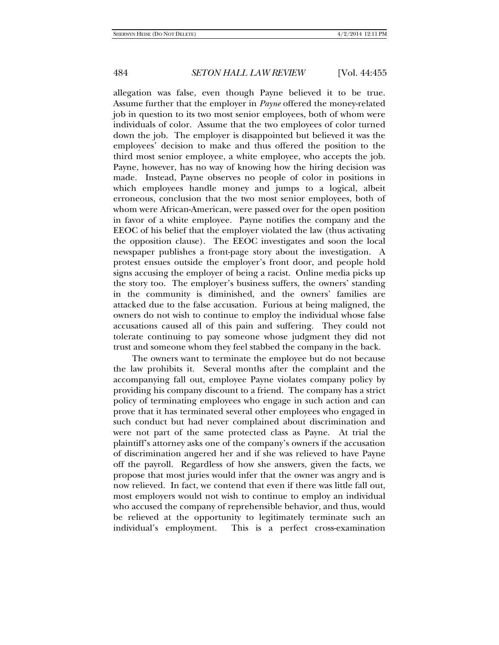allegation was false, even though Payne believed it to be true. Assume further that the employer in *Payne* offered the money-related job in question to its two most senior employees, both of whom were individuals of color. Assume that the two employees of color turned down the job. The employer is disappointed but believed it was the employees' decision to make and thus offered the position to the third most senior employee, a white employee, who accepts the job. Payne, however, has no way of knowing how the hiring decision was made. Instead, Payne observes no people of color in positions in which employees handle money and jumps to a logical, albeit erroneous, conclusion that the two most senior employees, both of whom were African-American, were passed over for the open position in favor of a white employee. Payne notifies the company and the EEOC of his belief that the employer violated the law (thus activating the opposition clause). The EEOC investigates and soon the local newspaper publishes a front-page story about the investigation. A protest ensues outside the employer's front door, and people hold signs accusing the employer of being a racist. Online media picks up the story too. The employer's business suffers, the owners' standing in the community is diminished, and the owners' families are attacked due to the false accusation. Furious at being maligned, the owners do not wish to continue to employ the individual whose false accusations caused all of this pain and suffering. They could not tolerate continuing to pay someone whose judgment they did not trust and someone whom they feel stabbed the company in the back.

The owners want to terminate the employee but do not because the law prohibits it. Several months after the complaint and the accompanying fall out, employee Payne violates company policy by providing his company discount to a friend. The company has a strict policy of terminating employees who engage in such action and can prove that it has terminated several other employees who engaged in such conduct but had never complained about discrimination and were not part of the same protected class as Payne. At trial the plaintiff's attorney asks one of the company's owners if the accusation of discrimination angered her and if she was relieved to have Payne off the payroll. Regardless of how she answers, given the facts, we propose that most juries would infer that the owner was angry and is now relieved. In fact, we contend that even if there was little fall out, most employers would not wish to continue to employ an individual who accused the company of reprehensible behavior, and thus, would be relieved at the opportunity to legitimately terminate such an individual's employment. This is a perfect cross-examination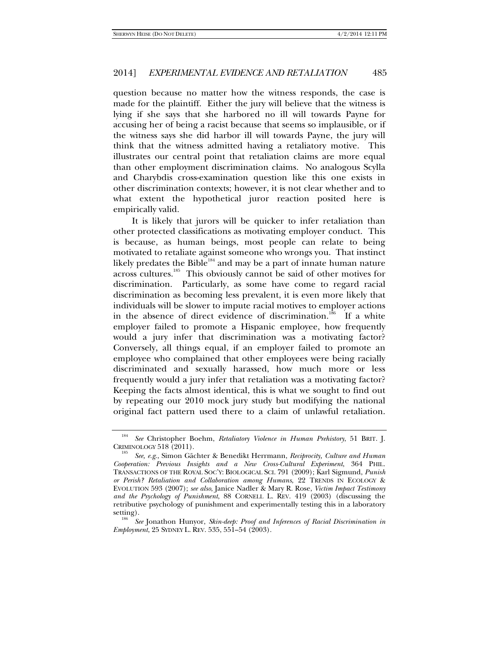question because no matter how the witness responds, the case is made for the plaintiff. Either the jury will believe that the witness is lying if she says that she harbored no ill will towards Payne for accusing her of being a racist because that seems so implausible, or if the witness says she did harbor ill will towards Payne, the jury will think that the witness admitted having a retaliatory motive. This illustrates our central point that retaliation claims are more equal than other employment discrimination claims. No analogous Scylla and Charybdis cross-examination question like this one exists in other discrimination contexts; however, it is not clear whether and to what extent the hypothetical juror reaction posited here is empirically valid.

It is likely that jurors will be quicker to infer retaliation than other protected classifications as motivating employer conduct. This is because, as human beings, most people can relate to being motivated to retaliate against someone who wrongs you. That instinct likely predates the Bible<sup>184</sup> and may be a part of innate human nature across cultures.185 This obviously cannot be said of other motives for discrimination. Particularly, as some have come to regard racial discrimination as becoming less prevalent, it is even more likely that individuals will be slower to impute racial motives to employer actions in the absence of direct evidence of discrimination.<sup>186</sup> If a white employer failed to promote a Hispanic employee, how frequently would a jury infer that discrimination was a motivating factor? Conversely, all things equal, if an employer failed to promote an employee who complained that other employees were being racially discriminated and sexually harassed, how much more or less frequently would a jury infer that retaliation was a motivating factor? Keeping the facts almost identical, this is what we sought to find out by repeating our 2010 mock jury study but modifying the national original fact pattern used there to a claim of unlawful retaliation.

<sup>184</sup> *See* Christopher Boehm, *Retaliatory Violence in Human Prehistory*, 51 BRIT. J. CRIMINOLOGY  $518(2011)$ .

*See, e.g*., Simon Gächter & Benedikt Herrmann, *Reciprocity, Culture and Human Cooperation: Previous Insights and a New Cross-Cultural Experiment*, 364 PHIL. TRANSACTIONS OF THE ROYAL SOC'Y: BIOLOGICAL SCI. 791 (2009); Karl Sigmund, *Punish or Perish? Retaliation and Collaboration among Humans*, 22 TRENDS IN ECOLOGY & EVOLUTION 593 (2007); *see also*, Janice Nadler & Mary R. Rose, *Victim Impact Testimony and the Psychology of Punishment*, 88 CORNELL L. REV. 419 (2003) (discussing the retributive psychology of punishment and experimentally testing this in a laboratory

setting). 186 *See* Jonathon Hunyor, *Skin-deep: Proof and Inferences of Racial Discrimination in Employment*, 25 SYDNEY L. REV. 535, 551–54 (2003).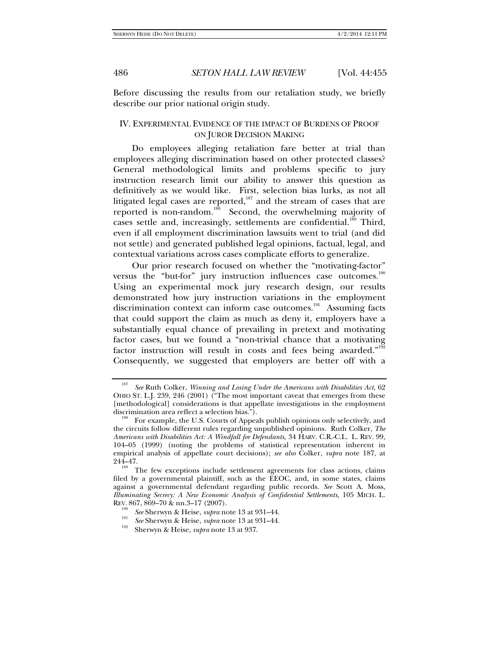Before discussing the results from our retaliation study, we briefly describe our prior national origin study.

## IV. EXPERIMENTAL EVIDENCE OF THE IMPACT OF BURDENS OF PROOF ON JUROR DECISION MAKING

Do employees alleging retaliation fare better at trial than employees alleging discrimination based on other protected classes? General methodological limits and problems specific to jury instruction research limit our ability to answer this question as definitively as we would like. First, selection bias lurks, as not all litigated legal cases are reported, $187$  and the stream of cases that are reported is non-random.<sup>188</sup> Second, the overwhelming majority of cases settle and, increasingly, settlements are confidential.<sup>189</sup> Third, even if all employment discrimination lawsuits went to trial (and did not settle) and generated published legal opinions, factual, legal, and contextual variations across cases complicate efforts to generalize.

Our prior research focused on whether the "motivating-factor" versus the "but-for" jury instruction influences case outcomes.<sup>190</sup> Using an experimental mock jury research design, our results demonstrated how jury instruction variations in the employment discrimination context can inform case outcomes.<sup>191</sup> Assuming facts that could support the claim as much as deny it, employers have a substantially equal chance of prevailing in pretext and motivating factor cases, but we found a "non-trivial chance that a motivating factor instruction will result in costs and fees being awarded."<sup>192</sup> Consequently, we suggested that employers are better off with a

<sup>187</sup> *See* Ruth Colker, *Winning and Losing Under the Americans with Disabilities Act*, 62 OHIO ST. L.J. 239, 246 (2001) ("The most important caveat that emerges from these [methodological] considerations is that appellate investigations in the employment

For example, the U.S. Courts of Appeals publish opinions only selectively, and the circuits follow different rules regarding unpublished opinions. Ruth Colker, *The Americans with Disabilities Act: A Windfall for Defendants*, 34 HARV. C.R.-C.L. L. REV. 99, 104–05 (1999) (noting the problems of statistical representation inherent in empirical analysis of appellate court decisions); *see also* Colker, *supra* note 187, at  $244-47$ .<br><sup>189</sup> The few exceptions include settlement agreements for class actions, claims

filed by a governmental plaintiff, such as the EEOC, and, in some states, claims against a governmental defendant regarding public records. *See* Scott A. Moss, *Illuminating Secrecy: A New Economic Analysis of Confidential Settlements*, 105 MICH. L. REV. 867, 869–70 & nn.3–17 (2007).

<sup>&</sup>lt;sup>190</sup> *See* Sherwyn & Heise, *supra* note 13 at 931–44.<br> *See* Sherwyn & Heise, *supra* note 13 at 931–44.<br>
Sherwyn & Heise, *supra* note 13 at 937.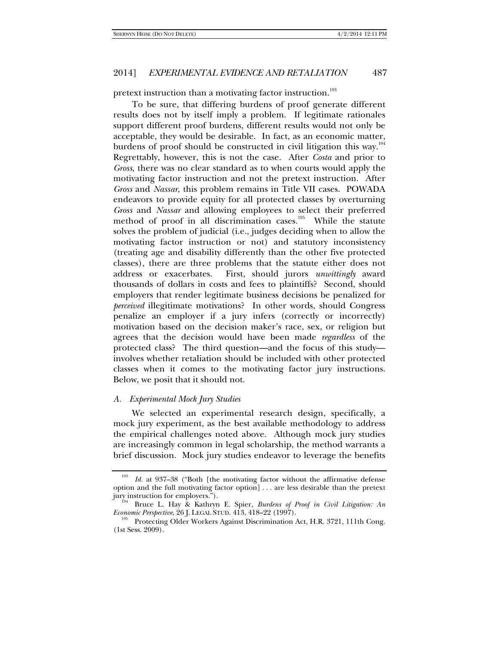pretext instruction than a motivating factor instruction.<sup>193</sup>

To be sure, that differing burdens of proof generate different results does not by itself imply a problem. If legitimate rationales support different proof burdens, different results would not only be acceptable, they would be desirable. In fact, as an economic matter, burdens of proof should be constructed in civil litigation this way.<sup>19</sup> Regrettably, however, this is not the case. After *Costa* and prior to *Gross*, there was no clear standard as to when courts would apply the motivating factor instruction and not the pretext instruction. After *Gross* and *Nassar*, this problem remains in Title VII cases. POWADA endeavors to provide equity for all protected classes by overturning *Gross* and *Nassar* and allowing employees to select their preferred method of proof in all discrimination cases.<sup>195</sup> While the statute solves the problem of judicial (i.e., judges deciding when to allow the motivating factor instruction or not) and statutory inconsistency (treating age and disability differently than the other five protected classes), there are three problems that the statute either does not address or exacerbates. First, should jurors *unwittingly* award thousands of dollars in costs and fees to plaintiffs? Second, should employers that render legitimate business decisions be penalized for *perceived* illegitimate motivations? In other words, should Congress penalize an employer if a jury infers (correctly or incorrectly) motivation based on the decision maker's race, sex, or religion but agrees that the decision would have been made *regardless* of the protected class? The third question—and the focus of this study involves whether retaliation should be included with other protected classes when it comes to the motivating factor jury instructions. Below, we posit that it should not.

#### *A. Experimental Mock Jury Studies*

We selected an experimental research design, specifically, a mock jury experiment, as the best available methodology to address the empirical challenges noted above. Although mock jury studies are increasingly common in legal scholarship, the method warrants a brief discussion. Mock jury studies endeavor to leverage the benefits

Id. at 937-38 ("Both [the motivating factor without the affirmative defense option and the full motivating factor option] . . . are less desirable than the pretext<br>jury instruction for employers.").<br> $\frac{194}{194}$  Preset L, Here  $\frac{9}{194}$  C is the set of the set of the set of the set of the set

<sup>&</sup>lt;sup>194</sup> Bruce L. Hay & Kathryn E. Spier, *Burdens of Proof in Civil Litigation: An Economic Perspective, 26 J. LEGAL STUD. 413, 418–22 (1997).* 

Protecting Older Workers Against Discrimination Act, H.R. 3721, 111th Cong. (1st Sess. 2009).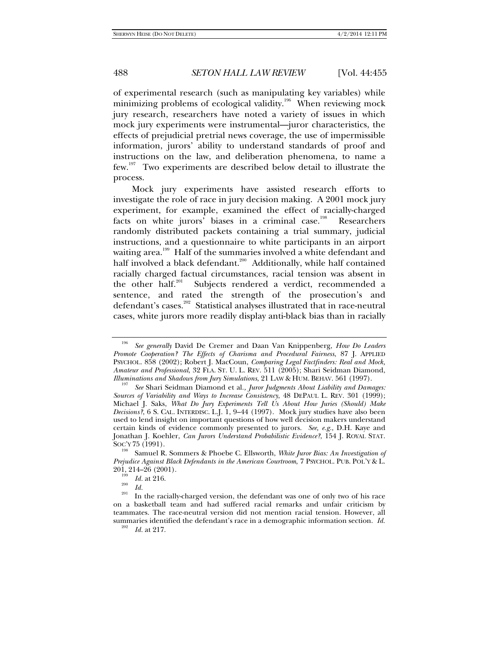of experimental research (such as manipulating key variables) while minimizing problems of ecological validity.<sup>196</sup> When reviewing mock jury research, researchers have noted a variety of issues in which mock jury experiments were instrumental—juror characteristics, the effects of prejudicial pretrial news coverage, the use of impermissible information, jurors' ability to understand standards of proof and instructions on the law, and deliberation phenomena, to name a few.<sup>197</sup> Two experiments are described below detail to illustrate the process.

Mock jury experiments have assisted research efforts to investigate the role of race in jury decision making. A 2001 mock jury experiment, for example, examined the effect of racially-charged facts on white jurors' biases in a criminal case.<sup>198</sup> Researchers randomly distributed packets containing a trial summary, judicial instructions, and a questionnaire to white participants in an airport waiting area.<sup>199</sup> Half of the summaries involved a white defendant and half involved a black defendant.<sup>200</sup> Additionally, while half contained racially charged factual circumstances, racial tension was absent in the other half.<sup>201</sup> Subjects rendered a verdict, recommended a sentence, and rated the strength of the prosecution's and defendant's cases.<sup>202</sup> Statistical analyses illustrated that in race-neutral cases, white jurors more readily display anti-black bias than in racially

<sup>196</sup> *See generally* David De Cremer and Daan Van Knippenberg, *How Do Leaders Promote Cooperation? The Effects of Charisma and Procedural Fairness*, 87 J. APPLIED PSYCHOL. 858 (2002); Robert J. MacCoun, *Comparing Legal Factfinders: Real and Mock, Amateur and Professional*, 32 FLA. ST. U. L. REV. 511 (2005); Shari Seidman Diamond, *Illuminations and Shadows from Jury Simulations*, 21 LAW & HUM. BEHAV. 561 (1997).

*See Shari Seidman Diamond et al., Juror Judgments About Liability and Damages: Sources of Variability and Ways to Increase Consistency*, 48 DEPAUL L. REV. 301 (1999); Michael J. Saks, *What Do Jury Experiments Tell Us About How Juries (Should) Make Decisions?*, 6 S. CAL. INTERDISC. L.J. 1, 9–44 (1997). Mock jury studies have also been used to lend insight on important questions of how well decision makers understand certain kinds of evidence commonly presented to jurors. *See, e.g.*, D.H. Kaye and Jonathan J. Koehler, *Can Jurors Understand Probabilistic Evidence?*, 154 J. ROYAL STAT. Soc'y 75 (1991).<br><sup>198</sup> Samuel R. Sommers & Phoebe C. Ellsworth, *White Juror Bias: An Investigation of* 

*Prejudice Against Black Defendants in the American Courtroom*, 7 PSYCHOL. PUB. POL'Y & L.  $\frac{201}{199}$ , 214–26 (2001).<br>
<sup>199</sup> *Id.* at 216.<br>
<sup>200</sup> *Id.* 

<sup>&</sup>lt;sup>201</sup> In the racially-charged version, the defendant was one of only two of his race on a basketball team and had suffered racial remarks and unfair criticism by teammates. The race-neutral version did not mention racial tension. However, all summaries identified the defendant's race in a demographic information section. *Id.* 

*Id.* at 217.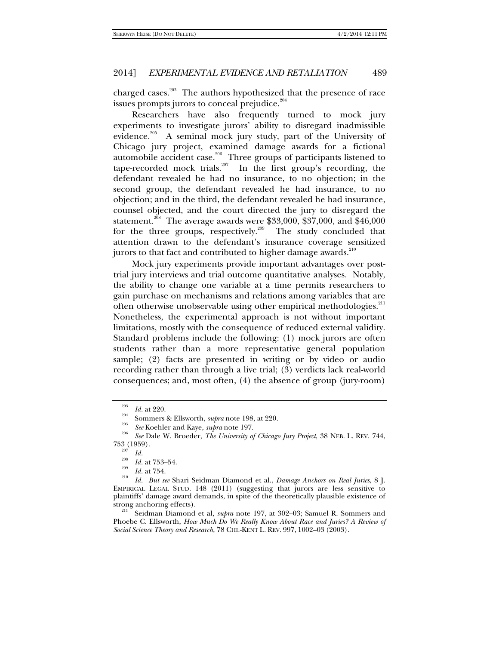charged cases.<sup>203</sup> The authors hypothesized that the presence of race issues prompts jurors to conceal prejudice.<sup>204</sup>

Researchers have also frequently turned to mock jury experiments to investigate jurors' ability to disregard inadmissible evidence.<sup>205</sup> A seminal mock jury study, part of the University of Chicago jury project, examined damage awards for a fictional automobile accident case.<sup>206</sup> Three groups of participants listened to tape-recorded mock trials.<sup>207</sup> In the first group's recording, the defendant revealed he had no insurance, to no objection; in the second group, the defendant revealed he had insurance, to no objection; and in the third, the defendant revealed he had insurance, counsel objected, and the court directed the jury to disregard the statement.<sup>208</sup> The average awards were \$33,000, \$37,000, and \$46,000 for the three groups, respectively.<sup>209</sup> The study concluded that attention drawn to the defendant's insurance coverage sensitized jurors to that fact and contributed to higher damage awards.<sup>210</sup>

Mock jury experiments provide important advantages over posttrial jury interviews and trial outcome quantitative analyses. Notably, the ability to change one variable at a time permits researchers to gain purchase on mechanisms and relations among variables that are often otherwise unobservable using other empirical methodologies.<sup>211</sup> Nonetheless, the experimental approach is not without important limitations, mostly with the consequence of reduced external validity. Standard problems include the following: (1) mock jurors are often students rather than a more representative general population sample; (2) facts are presented in writing or by video or audio recording rather than through a live trial; (3) verdicts lack real-world consequences; and, most often, (4) the absence of group (jury-room)

<sup>&</sup>lt;sup>203</sup>*Id.* at 220.<br><sup>204</sup> Sommers & Ellsworth, *supra* note 198, at 220.<br><sup>205</sup> *See* Koehler and Kaye, *supra* note 197.

<sup>&</sup>lt;sup>206</sup> *See* Dale W. Broeder, *The University of Chicago Jury Project*, 38 NEB. L. REV. 744,  $753 \over 207} (1959)$ .<br> $Id.$ 

<sup>&</sup>lt;sup>208</sup>*Id.* at 753–54.

*Id.* at 754.

*Id. But see* Shari Seidman Diamond et al., *Damage Anchors on Real Juries*, 8 J. EMPIRICAL LEGAL STUD. 148 (2011) (suggesting that jurors are less sensitive to plaintiffs' damage award demands, in spite of the theoretically plausible existence of

Seidman Diamond et al, *supra* note 197, at 302–03; Samuel R. Sommers and Phoebe C. Ellsworth, *How Much Do We Really Know About Race and Juries? A Review of Social Science Theory and Research*, 78 CHI.-KENT L. REV. 997, 1002–03 (2003).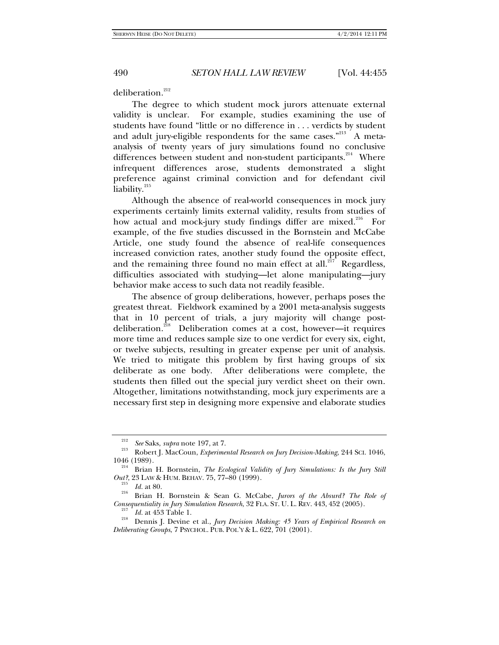deliberation.<sup>212</sup>

The degree to which student mock jurors attenuate external validity is unclear. For example, studies examining the use of students have found "little or no difference in . . . verdicts by student and adult jury-eligible respondents for the same cases."<sup>213</sup> A metaanalysis of twenty years of jury simulations found no conclusive differences between student and non-student participants. $214$  Where infrequent differences arose, students demonstrated a slight preference against criminal conviction and for defendant civil liability. $215$ 

Although the absence of real-world consequences in mock jury experiments certainly limits external validity, results from studies of how actual and mock-jury study findings differ are mixed.<sup>216</sup> For example, of the five studies discussed in the Bornstein and McCabe Article, one study found the absence of real-life consequences increased conviction rates, another study found the opposite effect, and the remaining three found no main effect at all.<sup>217</sup> Regardless, difficulties associated with studying—let alone manipulating—jury behavior make access to such data not readily feasible.

The absence of group deliberations, however, perhaps poses the greatest threat. Fieldwork examined by a 2001 meta-analysis suggests that in 10 percent of trials, a jury majority will change postdeliberation.<sup>218</sup> Deliberation comes at a cost, however—it requires more time and reduces sample size to one verdict for every six, eight, or twelve subjects, resulting in greater expense per unit of analysis. We tried to mitigate this problem by first having groups of six deliberate as one body. After deliberations were complete, the students then filled out the special jury verdict sheet on their own. Altogether, limitations notwithstanding, mock jury experiments are a necessary first step in designing more expensive and elaborate studies

<sup>212</sup>

<sup>&</sup>lt;sup>212</sup> See Saks, *supra* note 197, at 7.<br><sup>213</sup> Robert J. MacCoun, *Experimental Research on Jury Decision-Making*, 244 SCI. 1046, 1046 (1989).

<sup>&</sup>lt;sup>214</sup> Brian H. Bornstein, *The Ecological Validity of Jury Simulations: Is the Jury Still Out?*, 23 LAW & HUM. BEHAV. 75, 77–80 (1999).

<sup>&</sup>lt;sup>215</sup> Id. at 80.<br><sup>216</sup> Brian H. Bornstein & Sean G. McCabe, *Jurors of the Absurd? The Role of Consequentiality in Jury Simulation Research*, 32 FLA. ST. U. L. REV. 443, 452 (2005).<br><sup>217</sup> *Id.* at 453 Table 1.

*Id.* at 453 Table 1. 218 Dennis J. Devine et al., *Jury Decision Making: 45 Years of Empirical Research on Deliberating Groups*, 7 PSYCHOL. PUB. POL'Y & L. 622, 701 (2001).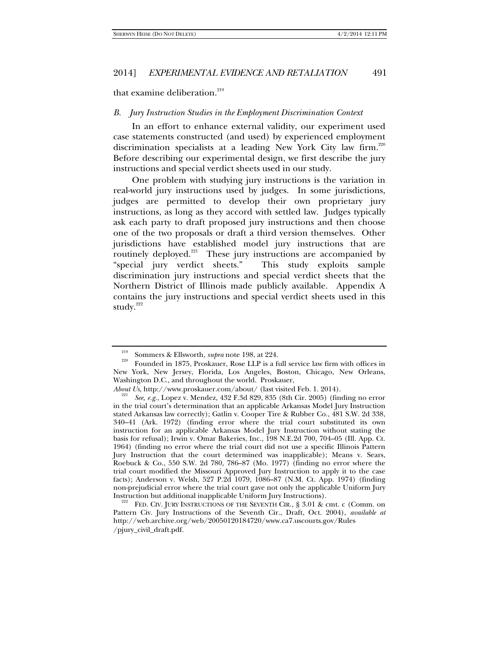that examine deliberation.<sup>219</sup>

## *B. Jury Instruction Studies in the Employment Discrimination Context*

In an effort to enhance external validity, our experiment used case statements constructed (and used) by experienced employment discrimination specialists at a leading New York City law firm.<sup>220</sup> Before describing our experimental design, we first describe the jury instructions and special verdict sheets used in our study.

One problem with studying jury instructions is the variation in real-world jury instructions used by judges. In some jurisdictions, judges are permitted to develop their own proprietary jury instructions, as long as they accord with settled law. Judges typically ask each party to draft proposed jury instructions and then choose one of the two proposals or draft a third version themselves. Other jurisdictions have established model jury instructions that are routinely deployed.<sup>221</sup> These jury instructions are accompanied by "special jury verdict sheets." This study exploits sample discrimination jury instructions and special verdict sheets that the Northern District of Illinois made publicly available. Appendix A contains the jury instructions and special verdict sheets used in this study. $222$ 

<sup>&</sup>lt;sup>219</sup> Sommers & Ellsworth, *supra* note 198, at 224.<br><sup>220</sup> Founded in 1875, Proskauer, Rose LLP is a full service law firm with offices in New York, New Jersey, Florida, Los Angeles, Boston, Chicago, New Orleans, Washington D.C., and throughout the world. Proskauer,

*About Us, http://www.proskauer.com/about/ (last visited Feb. 1. 2014).* 

*See, e.g.*, Lopez v. Mendez, 432 F.3d 829, 835 (8th Cir. 2005) (finding no error in the trial court's determination that an applicable Arkansas Model Jury Instruction stated Arkansas law correctly); Gatlin v. Cooper Tire & Rubber Co., 481 S.W. 2d 338, 340–41 (Ark. 1972) (finding error where the trial court substituted its own instruction for an applicable Arkansas Model Jury Instruction without stating the basis for refusal); Irwin v. Omar Bakeries, Inc., 198 N.E.2d 700, 704–05 (Ill. App. Ct. 1964) (finding no error where the trial court did not use a specific Illinois Pattern Jury Instruction that the court determined was inapplicable); Means v. Sears, Roebuck & Co., 550 S.W. 2d 780, 786–87 (Mo. 1977) (finding no error where the trial court modified the Missouri Approved Jury Instruction to apply it to the case facts); Anderson v. Welsh, 527 P.2d 1079, 1086–87 (N.M. Ct. App. 1974) (finding non-prejudicial error where the trial court gave not only the applicable Uniform Jury

FED. CIV. JURY INSTRUCTIONS OF THE SEVENTH CIR., § 3.01 & cmt. c (Comm. on Pattern Civ. Jury Instructions of the Seventh Cir., Draft, Oct. 2004), *available at* http://web.archive.org/web/20050120184720/www.ca7.uscourts.gov/Rules /pjury\_civil\_draft.pdf.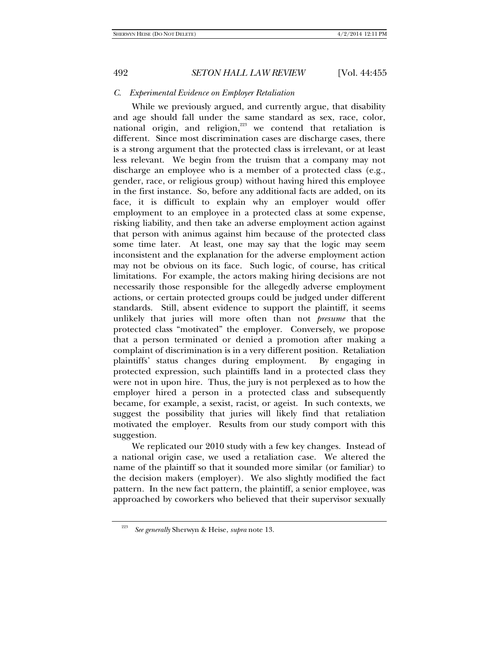## *C. Experimental Evidence on Employer Retaliation*

While we previously argued, and currently argue, that disability and age should fall under the same standard as sex, race, color, national origin, and religion, $223$  we contend that retaliation is different. Since most discrimination cases are discharge cases, there is a strong argument that the protected class is irrelevant, or at least less relevant. We begin from the truism that a company may not discharge an employee who is a member of a protected class (e.g., gender, race, or religious group) without having hired this employee in the first instance. So, before any additional facts are added, on its face, it is difficult to explain why an employer would offer employment to an employee in a protected class at some expense, risking liability, and then take an adverse employment action against that person with animus against him because of the protected class some time later. At least, one may say that the logic may seem inconsistent and the explanation for the adverse employment action may not be obvious on its face. Such logic, of course, has critical limitations. For example, the actors making hiring decisions are not necessarily those responsible for the allegedly adverse employment actions, or certain protected groups could be judged under different standards. Still, absent evidence to support the plaintiff, it seems unlikely that juries will more often than not *presume* that the protected class "motivated" the employer. Conversely, we propose that a person terminated or denied a promotion after making a complaint of discrimination is in a very different position. Retaliation plaintiffs' status changes during employment. By engaging in protected expression, such plaintiffs land in a protected class they were not in upon hire. Thus, the jury is not perplexed as to how the employer hired a person in a protected class and subsequently became, for example, a sexist, racist, or ageist. In such contexts, we suggest the possibility that juries will likely find that retaliation motivated the employer. Results from our study comport with this suggestion.

We replicated our 2010 study with a few key changes. Instead of a national origin case, we used a retaliation case. We altered the name of the plaintiff so that it sounded more similar (or familiar) to the decision makers (employer). We also slightly modified the fact pattern. In the new fact pattern, the plaintiff, a senior employee, was approached by coworkers who believed that their supervisor sexually

<sup>223</sup> *See generally* Sherwyn & Heise, *supra* note 13.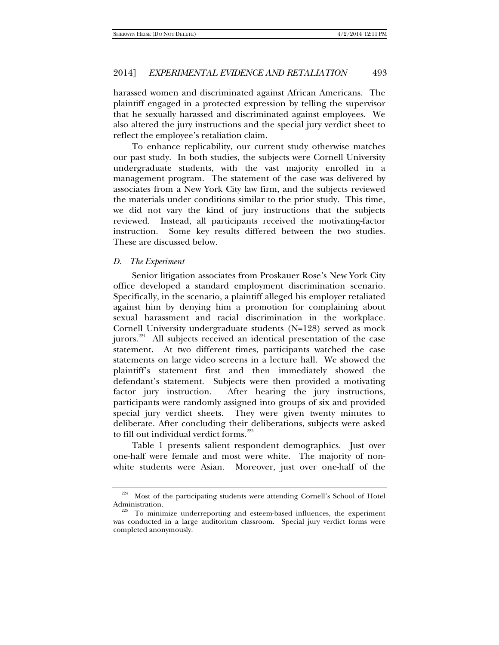harassed women and discriminated against African Americans. The plaintiff engaged in a protected expression by telling the supervisor that he sexually harassed and discriminated against employees. We also altered the jury instructions and the special jury verdict sheet to reflect the employee's retaliation claim.

To enhance replicability, our current study otherwise matches our past study. In both studies, the subjects were Cornell University undergraduate students, with the vast majority enrolled in a management program. The statement of the case was delivered by associates from a New York City law firm, and the subjects reviewed the materials under conditions similar to the prior study. This time, we did not vary the kind of jury instructions that the subjects reviewed. Instead, all participants received the motivating-factor instruction. Some key results differed between the two studies. These are discussed below.

#### *D. The Experiment*

Senior litigation associates from Proskauer Rose's New York City office developed a standard employment discrimination scenario. Specifically, in the scenario, a plaintiff alleged his employer retaliated against him by denying him a promotion for complaining about sexual harassment and racial discrimination in the workplace. Cornell University undergraduate students (N=128) served as mock jurors.224 All subjects received an identical presentation of the case statement. At two different times, participants watched the case statements on large video screens in a lecture hall. We showed the plaintiff's statement first and then immediately showed the defendant's statement. Subjects were then provided a motivating factor jury instruction. After hearing the jury instructions, participants were randomly assigned into groups of six and provided special jury verdict sheets. They were given twenty minutes to deliberate. After concluding their deliberations, subjects were asked to fill out individual verdict forms.<sup>225</sup>

Table 1 presents salient respondent demographics. Just over one-half were female and most were white. The majority of nonwhite students were Asian. Moreover, just over one-half of the

 $224$  Most of the participating students were attending Cornell's School of Hotel Administration.

To minimize underreporting and esteem-based influences, the experiment was conducted in a large auditorium classroom. Special jury verdict forms were completed anonymously.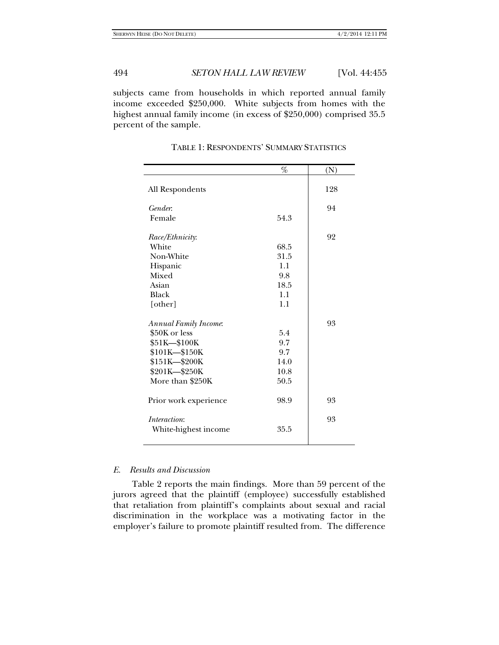subjects came from households in which reported annual family income exceeded \$250,000. White subjects from homes with the highest annual family income (in excess of \$250,000) comprised 35.5 percent of the sample.

|                       | $\%$     | (N) |
|-----------------------|----------|-----|
| All Respondents       |          | 128 |
| Gender.               |          | 94  |
| Female                | 54.3     |     |
| Race/Ethnicity:       |          | 92  |
| White                 | 68.5     |     |
| Non-White             | 31.5     |     |
| Hispanic              | 1.1      |     |
| Mixed                 | 9.8      |     |
| Asian                 | 18.5     |     |
| Black                 | 1.1      |     |
| [other]               | 1.1      |     |
| Annual Family Income. |          | 93  |
| \$50K or less         | 5.4      |     |
| \$51K-\$100K          | 9.7      |     |
| \$101K-\$150K         | 9.7      |     |
| \$151K-\$200K         | 14.0     |     |
| \$201K-\$250K         | 10.8     |     |
| More than \$250K      | $50.5\,$ |     |
| Prior work experience | 98.9     | 93  |
| <i>Interaction:</i>   |          | 93  |
| White-highest income  | 35.5     |     |
|                       |          |     |

TABLE 1: RESPONDENTS' SUMMARY STATISTICS

## *E. Results and Discussion*

Table 2 reports the main findings. More than 59 percent of the jurors agreed that the plaintiff (employee) successfully established that retaliation from plaintiff's complaints about sexual and racial discrimination in the workplace was a motivating factor in the employer's failure to promote plaintiff resulted from. The difference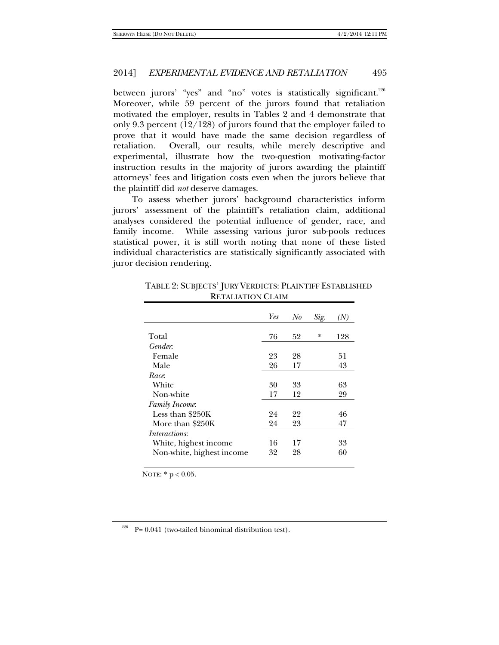between jurors' "yes" and "no" votes is statistically significant.<sup>226</sup> Moreover, while 59 percent of the jurors found that retaliation motivated the employer, results in Tables 2 and 4 demonstrate that only 9.3 percent (12/128) of jurors found that the employer failed to prove that it would have made the same decision regardless of retaliation. Overall, our results, while merely descriptive and experimental, illustrate how the two-question motivating-factor instruction results in the majority of jurors awarding the plaintiff attorneys' fees and litigation costs even when the jurors believe that the plaintiff did *not* deserve damages.

To assess whether jurors' background characteristics inform jurors' assessment of the plaintiff's retaliation claim, additional analyses considered the potential influence of gender, race, and family income. While assessing various juror sub-pools reduces statistical power, it is still worth noting that none of these listed individual characteristics are statistically significantly associated with juror decision rendering.

|                           | Yes | No | Sig.   | (N) |
|---------------------------|-----|----|--------|-----|
|                           |     |    |        |     |
| Total                     | 76  | 52 | $\ast$ | 128 |
| Gender.                   |     |    |        |     |
| Female                    | 23  | 28 |        | 51  |
| Male                      | 26  | 17 |        | 43  |
| Race:                     |     |    |        |     |
| White                     | 30  | 33 |        | 63  |
| Non-white                 | 17  | 12 |        | 29  |
| Family Income.            |     |    |        |     |
| Less than \$250K          | 24  | 22 |        | 46  |
| More than \$250K          | 24  | 23 |        | 47  |
| <i>Interactions:</i>      |     |    |        |     |
| White, highest income     | 16  | 17 |        | 33  |
| Non-white, highest income | 32  | 28 |        | 60  |

TABLE 2: SUBJECTS' JURY VERDICTS: PLAINTIFF ESTABLISHED RETALIATION CLAIM

NOTE: \* p < 0.05.

<sup>226</sup> P= 0.041 (two-tailed binominal distribution test).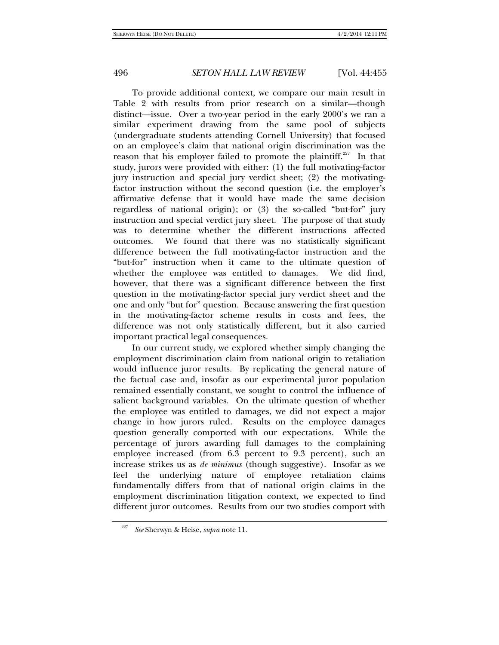To provide additional context, we compare our main result in Table 2 with results from prior research on a similar—though distinct—issue. Over a two-year period in the early 2000's we ran a similar experiment drawing from the same pool of subjects (undergraduate students attending Cornell University) that focused on an employee's claim that national origin discrimination was the reason that his employer failed to promote the plaintiff.<sup>227</sup> In that study, jurors were provided with either: (1) the full motivating-factor jury instruction and special jury verdict sheet; (2) the motivatingfactor instruction without the second question (i.e. the employer's affirmative defense that it would have made the same decision regardless of national origin); or (3) the so-called "but-for" jury instruction and special verdict jury sheet. The purpose of that study was to determine whether the different instructions affected outcomes. We found that there was no statistically significant difference between the full motivating-factor instruction and the "but-for" instruction when it came to the ultimate question of whether the employee was entitled to damages. We did find, however, that there was a significant difference between the first question in the motivating-factor special jury verdict sheet and the one and only "but for" question. Because answering the first question in the motivating-factor scheme results in costs and fees, the difference was not only statistically different, but it also carried important practical legal consequences.

In our current study, we explored whether simply changing the employment discrimination claim from national origin to retaliation would influence juror results. By replicating the general nature of the factual case and, insofar as our experimental juror population remained essentially constant, we sought to control the influence of salient background variables. On the ultimate question of whether the employee was entitled to damages, we did not expect a major change in how jurors ruled. Results on the employee damages question generally comported with our expectations. While the percentage of jurors awarding full damages to the complaining employee increased (from 6.3 percent to 9.3 percent), such an increase strikes us as *de minimus* (though suggestive). Insofar as we feel the underlying nature of employee retaliation claims fundamentally differs from that of national origin claims in the employment discrimination litigation context, we expected to find different juror outcomes. Results from our two studies comport with

<sup>227</sup> *See* Sherwyn & Heise, *supra* note 11.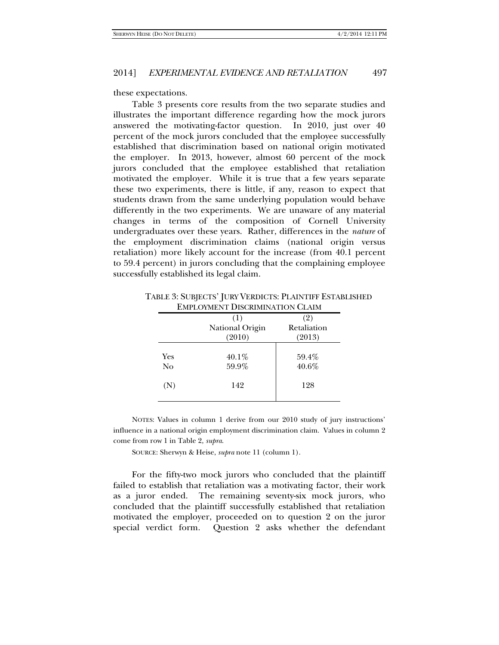these expectations.

Table 3 presents core results from the two separate studies and illustrates the important difference regarding how the mock jurors answered the motivating-factor question. In 2010, just over 40 percent of the mock jurors concluded that the employee successfully established that discrimination based on national origin motivated the employer. In 2013, however, almost 60 percent of the mock jurors concluded that the employee established that retaliation motivated the employer. While it is true that a few years separate these two experiments, there is little, if any, reason to expect that students drawn from the same underlying population would behave differently in the two experiments. We are unaware of any material changes in terms of the composition of Cornell University undergraduates over these years. Rather, differences in the *nature* of the employment discrimination claims (national origin versus retaliation) more likely account for the increase (from 40.1 percent to 59.4 percent) in jurors concluding that the complaining employee successfully established its legal claim.

|     | (1)             | (2)         |
|-----|-----------------|-------------|
|     | National Origin | Retaliation |
|     | (2010)          | (2013)      |
| Yes | 40.1%           | 59.4%       |
| No  | 59.9%           | 40.6%       |
| (N) | 142             | 128         |

TABLE 3: SUBJECTS' JURY VERDICTS: PLAINTIFF ESTABLISHED **EMPLOYMENT DISCRIMINATION CLAIM** 

NOTES: Values in column 1 derive from our 2010 study of jury instructions' influence in a national origin employment discrimination claim. Values in column 2 come from row 1 in Table 2, *supra*.

SOURCE: Sherwyn & Heise, *supra* note 11 (column 1).

For the fifty-two mock jurors who concluded that the plaintiff failed to establish that retaliation was a motivating factor, their work as a juror ended. The remaining seventy-six mock jurors, who concluded that the plaintiff successfully established that retaliation motivated the employer, proceeded on to question 2 on the juror special verdict form. Question 2 asks whether the defendant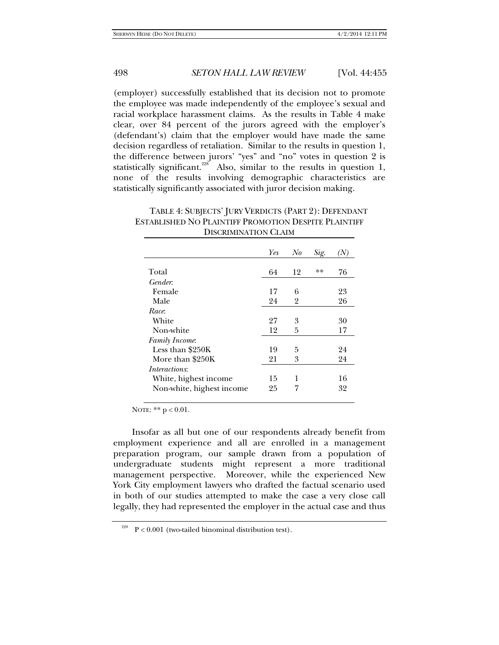(employer) successfully established that its decision not to promote the employee was made independently of the employee's sexual and racial workplace harassment claims. As the results in Table 4 make clear, over 84 percent of the jurors agreed with the employer's (defendant's) claim that the employer would have made the same decision regardless of retaliation. Similar to the results in question 1, the difference between jurors' "yes" and "no" votes in question 2 is statistically significant.<sup>228</sup> Also, similar to the results in question 1, none of the results involving demographic characteristics are statistically significantly associated with juror decision making.

| TABLE 4: SUBJECTS' JURY VERDICTS (PART 2): DEFENDANT |
|------------------------------------------------------|
| ESTABLISHED NO PLAINTIFF PROMOTION DESPITE PLAINTIFF |
| DISCRIMINATION CLAIM                                 |
|                                                      |

|                           | Yes | No | Sig. |    |
|---------------------------|-----|----|------|----|
| Total                     | 64  | 12 | $**$ | 76 |
| Gender:                   |     |    |      |    |
| Female                    | 17  | 6  |      | 23 |
| Male                      | 24  | 2  |      | 26 |
| Race:                     |     |    |      |    |
| White                     | 27  | 3  |      | 30 |
| Non-white                 | 12  | 5  |      | 17 |
| Family Income.            |     |    |      |    |
| Less than \$250K          | 19  | 5  |      | 24 |
| More than \$250K          | 21  | 3  |      | 24 |
| <i>Interactions:</i>      |     |    |      |    |
| White, highest income     | 15  | 1  |      | 16 |
| Non-white, highest income | 25  | 7  |      | 32 |

NOTE: \*\*  $p < 0.01$ .

Insofar as all but one of our respondents already benefit from employment experience and all are enrolled in a management preparation program, our sample drawn from a population of undergraduate students might represent a more traditional management perspective. Moreover, while the experienced New York City employment lawyers who drafted the factual scenario used in both of our studies attempted to make the case a very close call legally, they had represented the employer in the actual case and thus

 $2^{28}$  P < 0.001 (two-tailed binominal distribution test).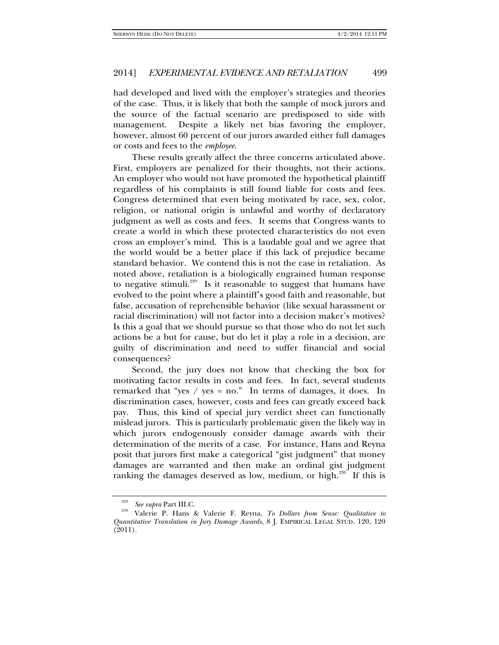had developed and lived with the employer's strategies and theories of the case. Thus, it is likely that both the sample of mock jurors and the source of the factual scenario are predisposed to side with management. Despite a likely net bias favoring the employer, however, almost 60 percent of our jurors awarded either full damages or costs and fees to the *employee*.

These results greatly affect the three concerns articulated above. First, employers are penalized for their thoughts, not their actions. An employer who would not have promoted the hypothetical plaintiff regardless of his complaints is still found liable for costs and fees. Congress determined that even being motivated by race, sex, color, religion, or national origin is unlawful and worthy of declaratory judgment as well as costs and fees. It seems that Congress wants to create a world in which these protected characteristics do not even cross an employer's mind. This is a laudable goal and we agree that the world would be a better place if this lack of prejudice became standard behavior. We contend this is not the case in retaliation. As noted above, retaliation is a biologically engrained human response to negative stimuli.<sup>229</sup> Is it reasonable to suggest that humans have evolved to the point where a plaintiff's good faith and reasonable, but false, accusation of reprehensible behavior (like sexual harassment or racial discrimination) will not factor into a decision maker's motives? Is this a goal that we should pursue so that those who do not let such actions be a but for cause, but do let it play a role in a decision, are guilty of discrimination and need to suffer financial and social consequences?

Second, the jury does not know that checking the box for motivating factor results in costs and fees. In fact, several students remarked that "yes / yes = no." In terms of damages, it does. In discrimination cases, however, costs and fees can greatly exceed back pay. Thus, this kind of special jury verdict sheet can functionally mislead jurors. This is particularly problematic given the likely way in which jurors endogenously consider damage awards with their determination of the merits of a case. For instance, Hans and Reyna posit that jurors first make a categorical "gist judgment" that money damages are warranted and then make an ordinal gist judgment ranking the damages deserved as low, medium, or high.<sup>230</sup> If this is

<sup>229</sup>

*See supra* Part III.C. 230 Valerie P. Hans & Valerie F. Reyna, *To Dollars from Sense: Qualitative to Quantitative Translation in Jury Damage Awards*, 8 J. EMPIRICAL LEGAL STUD. 120, 120 (2011).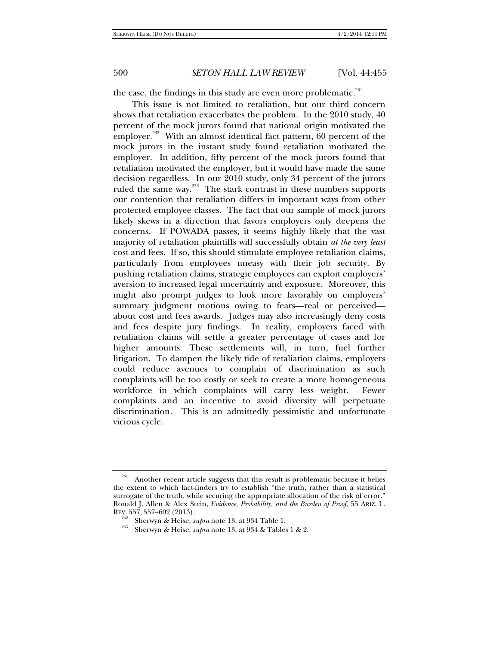the case, the findings in this study are even more problematic.<sup>231</sup>

This issue is not limited to retaliation, but our third concern shows that retaliation exacerbates the problem. In the 2010 study, 40 percent of the mock jurors found that national origin motivated the employer.<sup>232</sup> With an almost identical fact pattern, 60 percent of the mock jurors in the instant study found retaliation motivated the employer. In addition, fifty percent of the mock jurors found that retaliation motivated the employer, but it would have made the same decision regardless. In our 2010 study, only 34 percent of the jurors ruled the same way.<sup>233</sup> The stark contrast in these numbers supports our contention that retaliation differs in important ways from other protected employee classes. The fact that our sample of mock jurors likely skews in a direction that favors employers only deepens the concerns. If POWADA passes, it seems highly likely that the vast majority of retaliation plaintiffs will successfully obtain *at the very least*  cost and fees. If so, this should stimulate employee retaliation claims, particularly from employees uneasy with their job security. By pushing retaliation claims, strategic employees can exploit employers' aversion to increased legal uncertainty and exposure. Moreover, this might also prompt judges to look more favorably on employers' summary judgment motions owing to fears—real or perceived about cost and fees awards. Judges may also increasingly deny costs and fees despite jury findings. In reality, employers faced with retaliation claims will settle a greater percentage of cases and for higher amounts. These settlements will, in turn, fuel further litigation. To dampen the likely tide of retaliation claims, employers could reduce avenues to complain of discrimination as such complaints will be too costly or seek to create a more homogeneous workforce in which complaints will carry less weight. Fewer complaints and an incentive to avoid diversity will perpetuate discrimination. This is an admittedly pessimistic and unfortunate vicious cycle.

Another recent article suggests that this result is problematic because it belies the extent to which fact-finders try to establish "the truth, rather than a statistical surrogate of the truth, while securing the appropriate allocation of the risk of error." Ronald J. Allen & Alex Stein, *Evidence, Probability, and the Burden of Proof*, 55 ARIZ. L.

REV. 557, 557–602 (2013). 232 Sherwyn & Heise, *supra* note 13, at 934 Table 1. 233 Sherwyn & Heise, *supra* note 13, at 934 & Tables 1 & 2.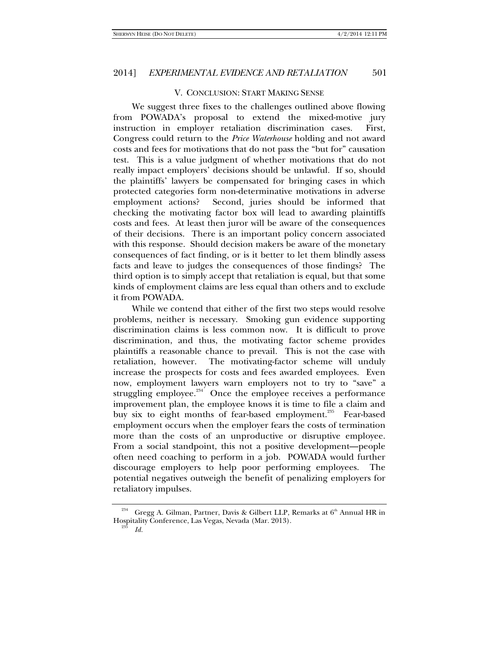## V. CONCLUSION: START MAKING SENSE

We suggest three fixes to the challenges outlined above flowing from POWADA's proposal to extend the mixed-motive jury instruction in employer retaliation discrimination cases. First, Congress could return to the *Price Waterhouse* holding and not award costs and fees for motivations that do not pass the "but for" causation test. This is a value judgment of whether motivations that do not really impact employers' decisions should be unlawful. If so, should the plaintiffs' lawyers be compensated for bringing cases in which protected categories form non-determinative motivations in adverse employment actions? Second, juries should be informed that checking the motivating factor box will lead to awarding plaintiffs costs and fees. At least then juror will be aware of the consequences of their decisions. There is an important policy concern associated with this response. Should decision makers be aware of the monetary consequences of fact finding, or is it better to let them blindly assess facts and leave to judges the consequences of those findings? The third option is to simply accept that retaliation is equal, but that some kinds of employment claims are less equal than others and to exclude it from POWADA.

While we contend that either of the first two steps would resolve problems, neither is necessary. Smoking gun evidence supporting discrimination claims is less common now. It is difficult to prove discrimination, and thus, the motivating factor scheme provides plaintiffs a reasonable chance to prevail. This is not the case with retaliation, however. The motivating-factor scheme will unduly increase the prospects for costs and fees awarded employees. Even now, employment lawyers warn employers not to try to "save" a struggling employee.<sup>234</sup> Once the employee receives a performance improvement plan, the employee knows it is time to file a claim and buy six to eight months of fear-based employment.<sup>235</sup> Fear-based employment occurs when the employer fears the costs of termination more than the costs of an unproductive or disruptive employee. From a social standpoint, this not a positive development—people often need coaching to perform in a job. POWADA would further discourage employers to help poor performing employees. The potential negatives outweigh the benefit of penalizing employers for retaliatory impulses.

Gregg A. Gilman, Partner, Davis & Gilbert LLP, Remarks at 6<sup>th</sup> Annual HR in Hospitality Conference, Las Vegas, Nevada (Mar. 2013). 235 *Id.*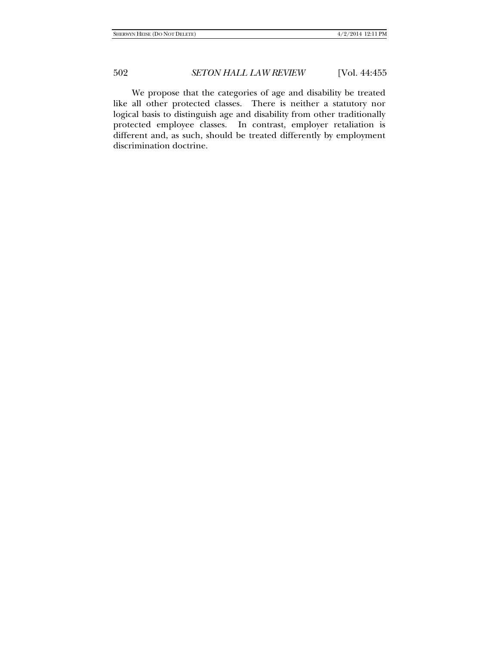We propose that the categories of age and disability be treated like all other protected classes. There is neither a statutory nor logical basis to distinguish age and disability from other traditionally protected employee classes. In contrast, employer retaliation is different and, as such, should be treated differently by employment discrimination doctrine.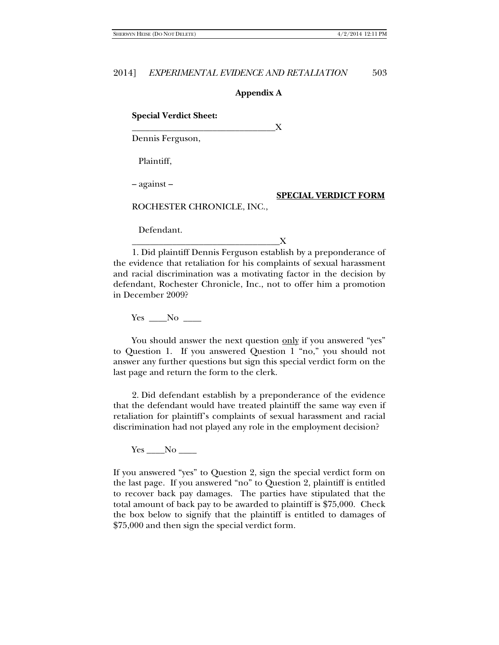## **Appendix A**

**Special Verdict Sheet:**

Dennis Ferguson,

Plaintiff,

– against –

#### **SPECIAL VERDICT FORM**

ROCHESTER CHRONICLE, INC.,

\_\_\_\_\_\_\_\_\_\_\_\_\_\_\_\_\_\_\_\_\_\_\_\_\_\_\_\_\_\_\_\_X

Defendant.

## \_\_\_\_\_\_\_\_\_\_\_\_\_\_\_\_\_\_\_\_\_\_\_\_\_\_\_\_\_\_\_\_\_X

1. Did plaintiff Dennis Ferguson establish by a preponderance of the evidence that retaliation for his complaints of sexual harassment and racial discrimination was a motivating factor in the decision by defendant, Rochester Chronicle, Inc., not to offer him a promotion in December 2009?

 $Yes \_\_No \_\_$ 

You should answer the next question only if you answered "yes" to Question 1. If you answered Question 1 "no," you should not answer any further questions but sign this special verdict form on the last page and return the form to the clerk.

2. Did defendant establish by a preponderance of the evidence that the defendant would have treated plaintiff the same way even if retaliation for plaintiff's complaints of sexual harassment and racial discrimination had not played any role in the employment decision?

 $Yes \_\_No \_\_$ 

If you answered "yes" to Question 2, sign the special verdict form on the last page. If you answered "no" to Question 2, plaintiff is entitled to recover back pay damages. The parties have stipulated that the total amount of back pay to be awarded to plaintiff is \$75,000. Check the box below to signify that the plaintiff is entitled to damages of \$75,000 and then sign the special verdict form.